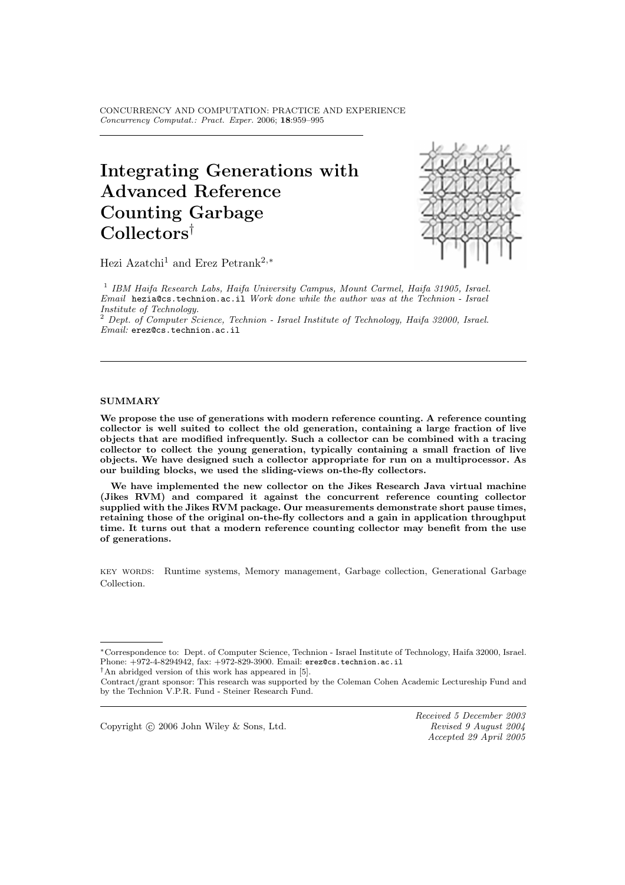# Integrating Generations with Advanced Reference Counting Garbage Collectors†



Hezi Azatchi<sup>1</sup> and Erez Petrank<sup>2,\*</sup>

<sup>1</sup> IBM Haifa Research Labs, Haifa University Campus, Mount Carmel, Haifa 31905, Israel. Email hezia@cs.technion.ac.il Work done while the author was at the Technion - Israel Institute of Technology.

 $2$  Dept. of Computer Science, Technion - Israel Institute of Technology, Haifa 32000, Israel. Email: erez@cs.technion.ac.il

#### **SUMMARY**

We propose the use of generations with modern reference counting. A reference counting collector is well suited to collect the old generation, containing a large fraction of live objects that are modified infrequently. Such a collector can be combined with a tracing collector to collect the young generation, typically containing a small fraction of live objects. We have designed such a collector appropriate for run on a multiprocessor. As our building blocks, we used the sliding-views on-the-fly collectors.

We have implemented the new collector on the Jikes Research Java virtual machine (Jikes RVM) and compared it against the concurrent reference counting collector supplied with the Jikes RVM package. Our measurements demonstrate short pause times, retaining those of the original on-the-fly collectors and a gain in application throughput time. It turns out that a modern reference counting collector may benefit from the use of generations.

key words: Runtime systems, Memory management, Garbage collection, Generational Garbage Collection.

†An abridged version of this work has appeared in [5].

Copyright © 2006 John Wiley & Sons, Ltd. Revised 9 August 2004

<sup>∗</sup>Correspondence to: Dept. of Computer Science, Technion - Israel Institute of Technology, Haifa 32000, Israel. Phone: +972-4-8294942, fax: +972-829-3900. Email: erez@cs.technion.ac.il

Contract/grant sponsor: This research was supported by the Coleman Cohen Academic Lectureship Fund and by the Technion V.P.R. Fund - Steiner Research Fund.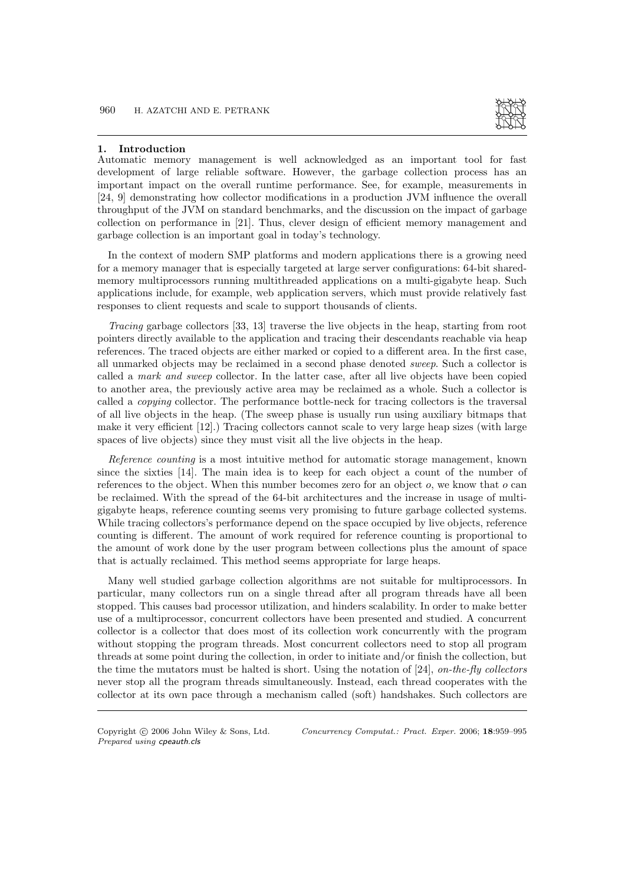

# 1. Introduction

Automatic memory management is well acknowledged as an important tool for fast development of large reliable software. However, the garbage collection process has an important impact on the overall runtime performance. See, for example, measurements in [24, 9] demonstrating how collector modifications in a production JVM influence the overall throughput of the JVM on standard benchmarks, and the discussion on the impact of garbage collection on performance in [21]. Thus, clever design of efficient memory management and garbage collection is an important goal in today's technology.

In the context of modern SMP platforms and modern applications there is a growing need for a memory manager that is especially targeted at large server configurations: 64-bit sharedmemory multiprocessors running multithreaded applications on a multi-gigabyte heap. Such applications include, for example, web application servers, which must provide relatively fast responses to client requests and scale to support thousands of clients.

Tracing garbage collectors [33, 13] traverse the live objects in the heap, starting from root pointers directly available to the application and tracing their descendants reachable via heap references. The traced objects are either marked or copied to a different area. In the first case, all unmarked objects may be reclaimed in a second phase denoted sweep. Such a collector is called a mark and sweep collector. In the latter case, after all live objects have been copied to another area, the previously active area may be reclaimed as a whole. Such a collector is called a copying collector. The performance bottle-neck for tracing collectors is the traversal of all live objects in the heap. (The sweep phase is usually run using auxiliary bitmaps that make it very efficient [12].) Tracing collectors cannot scale to very large heap sizes (with large spaces of live objects) since they must visit all the live objects in the heap.

Reference counting is a most intuitive method for automatic storage management, known since the sixties [14]. The main idea is to keep for each object a count of the number of references to the object. When this number becomes zero for an object  $o$ , we know that  $o$  can be reclaimed. With the spread of the 64-bit architectures and the increase in usage of multigigabyte heaps, reference counting seems very promising to future garbage collected systems. While tracing collectors's performance depend on the space occupied by live objects, reference counting is different. The amount of work required for reference counting is proportional to the amount of work done by the user program between collections plus the amount of space that is actually reclaimed. This method seems appropriate for large heaps.

Many well studied garbage collection algorithms are not suitable for multiprocessors. In particular, many collectors run on a single thread after all program threads have all been stopped. This causes bad processor utilization, and hinders scalability. In order to make better use of a multiprocessor, concurrent collectors have been presented and studied. A concurrent collector is a collector that does most of its collection work concurrently with the program without stopping the program threads. Most concurrent collectors need to stop all program threads at some point during the collection, in order to initiate and/or finish the collection, but the time the mutators must be halted is short. Using the notation of [24], on-the-fly collectors never stop all the program threads simultaneously. Instead, each thread cooperates with the collector at its own pace through a mechanism called (soft) handshakes. Such collectors are

Copyright © 2006 John Wiley & Sons, Ltd. Concurrency Computat.: Pract. Exper. 2006; 18:959-995 Prepared using cpeauth.cls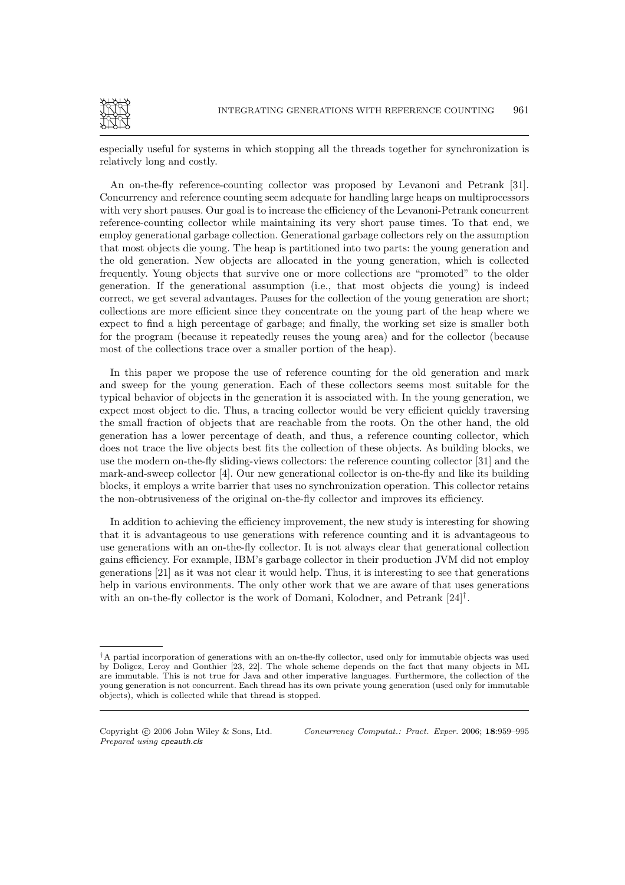

especially useful for systems in which stopping all the threads together for synchronization is relatively long and costly.

An on-the-fly reference-counting collector was proposed by Levanoni and Petrank [31]. Concurrency and reference counting seem adequate for handling large heaps on multiprocessors with very short pauses. Our goal is to increase the efficiency of the Levanoni-Petrank concurrent reference-counting collector while maintaining its very short pause times. To that end, we employ generational garbage collection. Generational garbage collectors rely on the assumption that most objects die young. The heap is partitioned into two parts: the young generation and the old generation. New objects are allocated in the young generation, which is collected frequently. Young objects that survive one or more collections are "promoted" to the older generation. If the generational assumption (i.e., that most objects die young) is indeed correct, we get several advantages. Pauses for the collection of the young generation are short; collections are more efficient since they concentrate on the young part of the heap where we expect to find a high percentage of garbage; and finally, the working set size is smaller both for the program (because it repeatedly reuses the young area) and for the collector (because most of the collections trace over a smaller portion of the heap).

In this paper we propose the use of reference counting for the old generation and mark and sweep for the young generation. Each of these collectors seems most suitable for the typical behavior of objects in the generation it is associated with. In the young generation, we expect most object to die. Thus, a tracing collector would be very efficient quickly traversing the small fraction of objects that are reachable from the roots. On the other hand, the old generation has a lower percentage of death, and thus, a reference counting collector, which does not trace the live objects best fits the collection of these objects. As building blocks, we use the modern on-the-fly sliding-views collectors: the reference counting collector [31] and the mark-and-sweep collector [4]. Our new generational collector is on-the-fly and like its building blocks, it employs a write barrier that uses no synchronization operation. This collector retains the non-obtrusiveness of the original on-the-fly collector and improves its efficiency.

In addition to achieving the efficiency improvement, the new study is interesting for showing that it is advantageous to use generations with reference counting and it is advantageous to use generations with an on-the-fly collector. It is not always clear that generational collection gains efficiency. For example, IBM's garbage collector in their production JVM did not employ generations [21] as it was not clear it would help. Thus, it is interesting to see that generations help in various environments. The only other work that we are aware of that uses generations with an on-the-fly collector is the work of Domani, Kolodner, and Petrank [24]<sup>†</sup>.

Prepared using cpeauth.cls

Copyright © 2006 John Wiley & Sons, Ltd. Concurrency Computat.: Pract. Exper. 2006; 18:959–995

<sup>†</sup>A partial incorporation of generations with an on-the-fly collector, used only for immutable objects was used by Doligez, Leroy and Gonthier [23, 22]. The whole scheme depends on the fact that many objects in ML are immutable. This is not true for Java and other imperative languages. Furthermore, the collection of the young generation is not concurrent. Each thread has its own private young generation (used only for immutable objects), which is collected while that thread is stopped.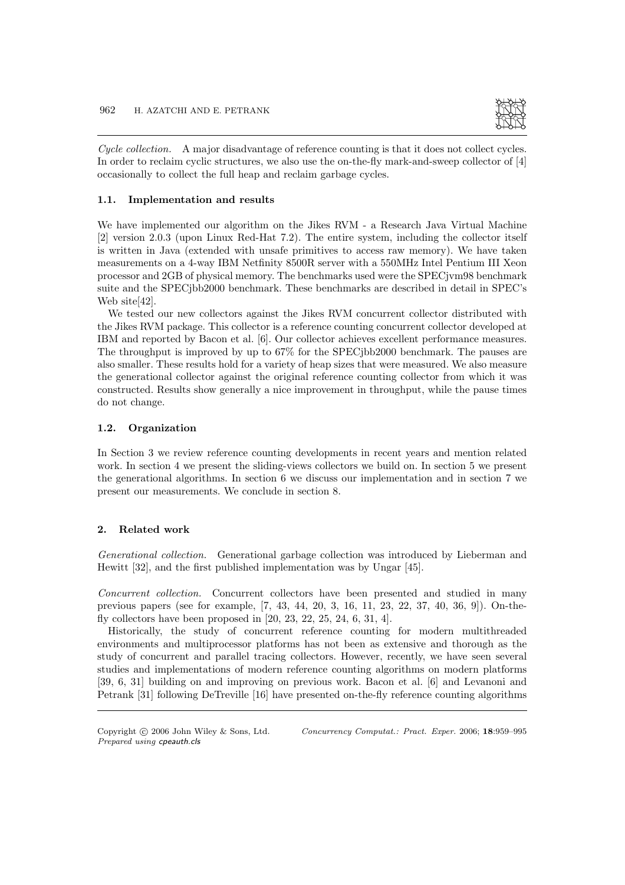

Cycle collection. A major disadvantage of reference counting is that it does not collect cycles. In order to reclaim cyclic structures, we also use the on-the-fly mark-and-sweep collector of [4] occasionally to collect the full heap and reclaim garbage cycles.

#### 1.1. Implementation and results

We have implemented our algorithm on the Jikes RVM - a Research Java Virtual Machine [2] version 2.0.3 (upon Linux Red-Hat 7.2). The entire system, including the collector itself is written in Java (extended with unsafe primitives to access raw memory). We have taken measurements on a 4-way IBM Netfinity 8500R server with a 550MHz Intel Pentium III Xeon processor and 2GB of physical memory. The benchmarks used were the SPECjvm98 benchmark suite and the SPECjbb2000 benchmark. These benchmarks are described in detail in SPEC's Web site[42].

We tested our new collectors against the Jikes RVM concurrent collector distributed with the Jikes RVM package. This collector is a reference counting concurrent collector developed at IBM and reported by Bacon et al. [6]. Our collector achieves excellent performance measures. The throughput is improved by up to 67% for the SPECjbb2000 benchmark. The pauses are also smaller. These results hold for a variety of heap sizes that were measured. We also measure the generational collector against the original reference counting collector from which it was constructed. Results show generally a nice improvement in throughput, while the pause times do not change.

#### 1.2. Organization

In Section 3 we review reference counting developments in recent years and mention related work. In section 4 we present the sliding-views collectors we build on. In section 5 we present the generational algorithms. In section 6 we discuss our implementation and in section 7 we present our measurements. We conclude in section 8.

## 2. Related work

Generational collection. Generational garbage collection was introduced by Lieberman and Hewitt [32], and the first published implementation was by Ungar [45].

Concurrent collection. Concurrent collectors have been presented and studied in many previous papers (see for example, [7, 43, 44, 20, 3, 16, 11, 23, 22, 37, 40, 36, 9]). On-thefly collectors have been proposed in [20, 23, 22, 25, 24, 6, 31, 4].

Historically, the study of concurrent reference counting for modern multithreaded environments and multiprocessor platforms has not been as extensive and thorough as the study of concurrent and parallel tracing collectors. However, recently, we have seen several studies and implementations of modern reference counting algorithms on modern platforms [39, 6, 31] building on and improving on previous work. Bacon et al. [6] and Levanoni and Petrank [31] following DeTreville [16] have presented on-the-fly reference counting algorithms

Copyright © 2006 John Wiley & Sons, Ltd. Concurrency Computat.: Pract. Exper. 2006; 18:959-995 Prepared using cpeauth.cls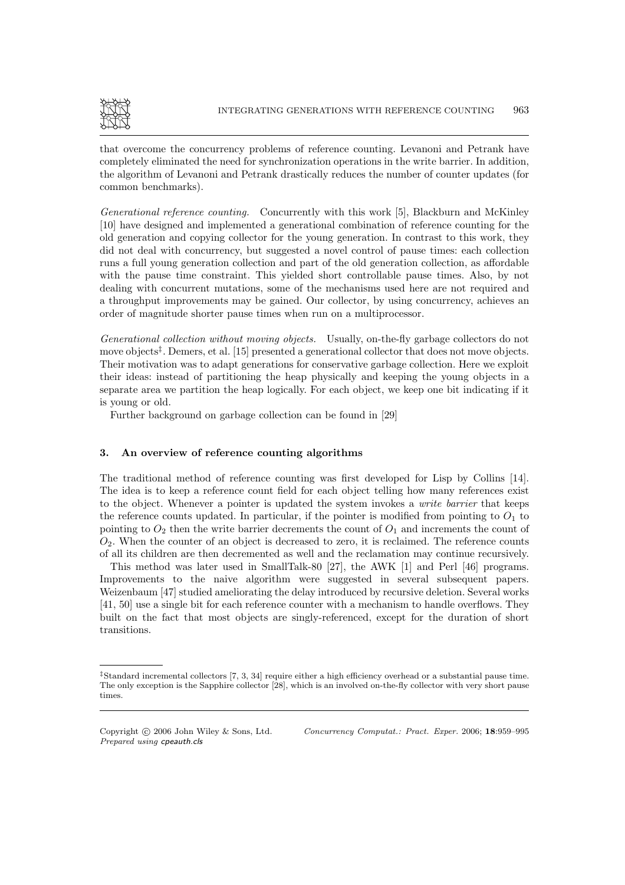

that overcome the concurrency problems of reference counting. Levanoni and Petrank have completely eliminated the need for synchronization operations in the write barrier. In addition, the algorithm of Levanoni and Petrank drastically reduces the number of counter updates (for common benchmarks).

Generational reference counting. Concurrently with this work [5], Blackburn and McKinley [10] have designed and implemented a generational combination of reference counting for the old generation and copying collector for the young generation. In contrast to this work, they did not deal with concurrency, but suggested a novel control of pause times: each collection runs a full young generation collection and part of the old generation collection, as affordable with the pause time constraint. This yielded short controllable pause times. Also, by not dealing with concurrent mutations, some of the mechanisms used here are not required and a throughput improvements may be gained. Our collector, by using concurrency, achieves an order of magnitude shorter pause times when run on a multiprocessor.

Generational collection without moving objects. Usually, on-the-fly garbage collectors do not move objects<sup>‡</sup>. Demers, et al. [15] presented a generational collector that does not move objects. Their motivation was to adapt generations for conservative garbage collection. Here we exploit their ideas: instead of partitioning the heap physically and keeping the young objects in a separate area we partition the heap logically. For each object, we keep one bit indicating if it is young or old.

Further background on garbage collection can be found in [29]

# 3. An overview of reference counting algorithms

The traditional method of reference counting was first developed for Lisp by Collins [14]. The idea is to keep a reference count field for each object telling how many references exist to the object. Whenever a pointer is updated the system invokes a *write barrier* that keeps the reference counts updated. In particular, if the pointer is modified from pointing to  $O_1$  to pointing to  $O_2$  then the write barrier decrements the count of  $O_1$  and increments the count of  $O<sub>2</sub>$ . When the counter of an object is decreased to zero, it is reclaimed. The reference counts of all its children are then decremented as well and the reclamation may continue recursively.

This method was later used in SmallTalk-80 [27], the AWK [1] and Perl [46] programs. Improvements to the naive algorithm were suggested in several subsequent papers. Weizenbaum [47] studied ameliorating the delay introduced by recursive deletion. Several works [41, 50] use a single bit for each reference counter with a mechanism to handle overflows. They built on the fact that most objects are singly-referenced, except for the duration of short transitions.

<sup>‡</sup>Standard incremental collectors [7, 3, 34] require either a high efficiency overhead or a substantial pause time. The only exception is the Sapphire collector [28], which is an involved on-the-fly collector with very short pause times

Prepared using cpeauth.cls

Copyright © 2006 John Wiley & Sons, Ltd. Concurrency Computat.: Pract. Exper. 2006; 18:959-995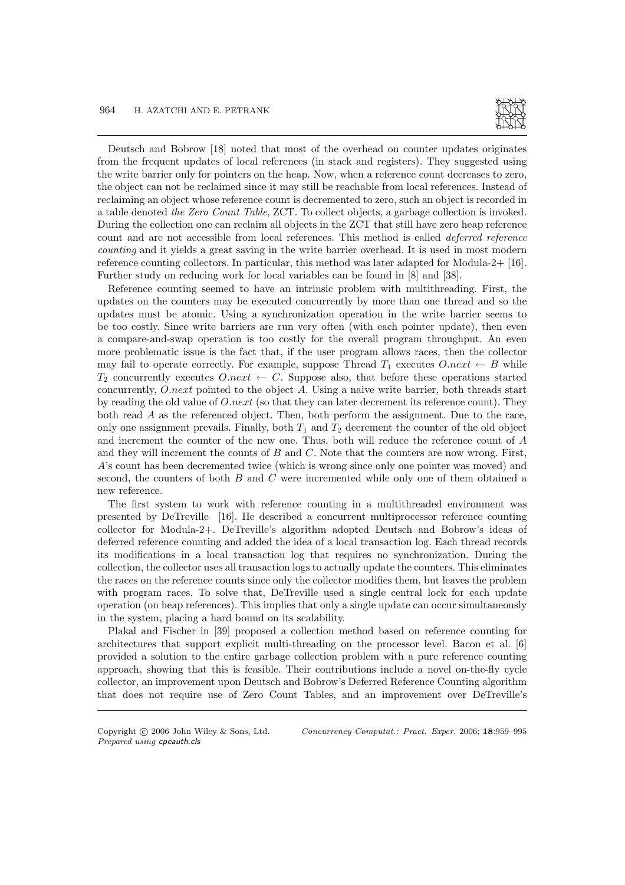

Deutsch and Bobrow [18] noted that most of the overhead on counter updates originates from the frequent updates of local references (in stack and registers). They suggested using the write barrier only for pointers on the heap. Now, when a reference count decreases to zero, the object can not be reclaimed since it may still be reachable from local references. Instead of reclaiming an object whose reference count is decremented to zero, such an object is recorded in a table denoted the Zero Count Table, ZCT. To collect objects, a garbage collection is invoked. During the collection one can reclaim all objects in the ZCT that still have zero heap reference count and are not accessible from local references. This method is called deferred reference counting and it yields a great saving in the write barrier overhead. It is used in most modern reference counting collectors. In particular, this method was later adapted for Modula-2+ [16]. Further study on reducing work for local variables can be found in [8] and [38].

Reference counting seemed to have an intrinsic problem with multithreading. First, the updates on the counters may be executed concurrently by more than one thread and so the updates must be atomic. Using a synchronization operation in the write barrier seems to be too costly. Since write barriers are run very often (with each pointer update), then even a compare-and-swap operation is too costly for the overall program throughput. An even more problematic issue is the fact that, if the user program allows races, then the collector may fail to operate correctly. For example, suppose Thread  $T_1$  executes  $O.next \leftarrow B$  while  $T_2$  concurrently executes  $O.next \leftarrow C$ . Suppose also, that before these operations started concurrently, O.next pointed to the object  $A$ . Using a naive write barrier, both threads start by reading the old value of  $O.next$  (so that they can later decrement its reference count). They both read A as the referenced object. Then, both perform the assignment. Due to the race, only one assignment prevails. Finally, both  $T_1$  and  $T_2$  decrement the counter of the old object and increment the counter of the new one. Thus, both will reduce the reference count of A and they will increment the counts of B and C. Note that the counters are now wrong. First, A's count has been decremented twice (which is wrong since only one pointer was moved) and second, the counters of both  $B$  and  $C$  were incremented while only one of them obtained a new reference.

The first system to work with reference counting in a multithreaded environment was presented by DeTreville [16]. He described a concurrent multiprocessor reference counting collector for Modula-2+. DeTreville's algorithm adopted Deutsch and Bobrow's ideas of deferred reference counting and added the idea of a local transaction log. Each thread records its modifications in a local transaction log that requires no synchronization. During the collection, the collector uses all transaction logs to actually update the counters. This eliminates the races on the reference counts since only the collector modifies them, but leaves the problem with program races. To solve that, DeTreville used a single central lock for each update operation (on heap references). This implies that only a single update can occur simultaneously in the system, placing a hard bound on its scalability.

Plakal and Fischer in [39] proposed a collection method based on reference counting for architectures that support explicit multi-threading on the processor level. Bacon et al. [6] provided a solution to the entire garbage collection problem with a pure reference counting approach, showing that this is feasible. Their contributions include a novel on-the-fly cycle collector, an improvement upon Deutsch and Bobrow's Deferred Reference Counting algorithm that does not require use of Zero Count Tables, and an improvement over DeTreville's

Copyright © 2006 John Wiley & Sons, Ltd. Concurrency Computat.: Pract. Exper. 2006; 18:959-995 Prepared using cpeauth.cls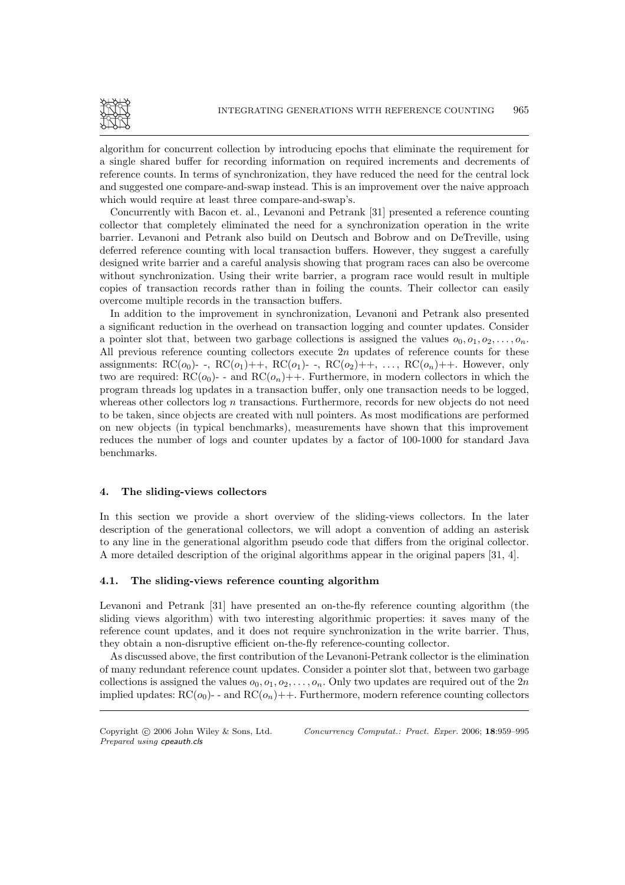

algorithm for concurrent collection by introducing epochs that eliminate the requirement for a single shared buffer for recording information on required increments and decrements of reference counts. In terms of synchronization, they have reduced the need for the central lock and suggested one compare-and-swap instead. This is an improvement over the naive approach which would require at least three compare-and-swap's.

Concurrently with Bacon et. al., Levanoni and Petrank [31] presented a reference counting collector that completely eliminated the need for a synchronization operation in the write barrier. Levanoni and Petrank also build on Deutsch and Bobrow and on DeTreville, using deferred reference counting with local transaction buffers. However, they suggest a carefully designed write barrier and a careful analysis showing that program races can also be overcome without synchronization. Using their write barrier, a program race would result in multiple copies of transaction records rather than in foiling the counts. Their collector can easily overcome multiple records in the transaction buffers.

In addition to the improvement in synchronization, Levanoni and Petrank also presented a significant reduction in the overhead on transaction logging and counter updates. Consider a pointer slot that, between two garbage collections is assigned the values  $o_0, o_1, o_2, \ldots, o_n$ . All previous reference counting collectors execute 2n updates of reference counts for these assignments:  $RC(o_0)$ - -,  $RC(o_1)$ ++,  $RC(o_1)$ - -,  $RC(o_2)$ ++, ...,  $RC(o_n)$ ++. However, only two are required:  $RC(o_0)$ - - and  $RC(o_n)$ ++. Furthermore, in modern collectors in which the program threads log updates in a transaction buffer, only one transaction needs to be logged, whereas other collectors  $\log n$  transactions. Furthermore, records for new objects do not need to be taken, since objects are created with null pointers. As most modifications are performed on new objects (in typical benchmarks), measurements have shown that this improvement reduces the number of logs and counter updates by a factor of 100-1000 for standard Java benchmarks.

#### 4. The sliding-views collectors

In this section we provide a short overview of the sliding-views collectors. In the later description of the generational collectors, we will adopt a convention of adding an asterisk to any line in the generational algorithm pseudo code that differs from the original collector. A more detailed description of the original algorithms appear in the original papers [31, 4].

# 4.1. The sliding-views reference counting algorithm

Levanoni and Petrank [31] have presented an on-the-fly reference counting algorithm (the sliding views algorithm) with two interesting algorithmic properties: it saves many of the reference count updates, and it does not require synchronization in the write barrier. Thus, they obtain a non-disruptive efficient on-the-fly reference-counting collector.

As discussed above, the first contribution of the Levanoni-Petrank collector is the elimination of many redundant reference count updates. Consider a pointer slot that, between two garbage collections is assigned the values  $o_0, o_1, o_2, \ldots, o_n$ . Only two updates are required out of the 2n implied updates:  $RC(o_0)$ - - and  $RC(o_n)$ ++. Furthermore, modern reference counting collectors

Copyright © 2006 John Wiley & Sons, Ltd. Concurrency Computat.: Pract. Exper. 2006; 18:959-995 Prepared using cpeauth.cls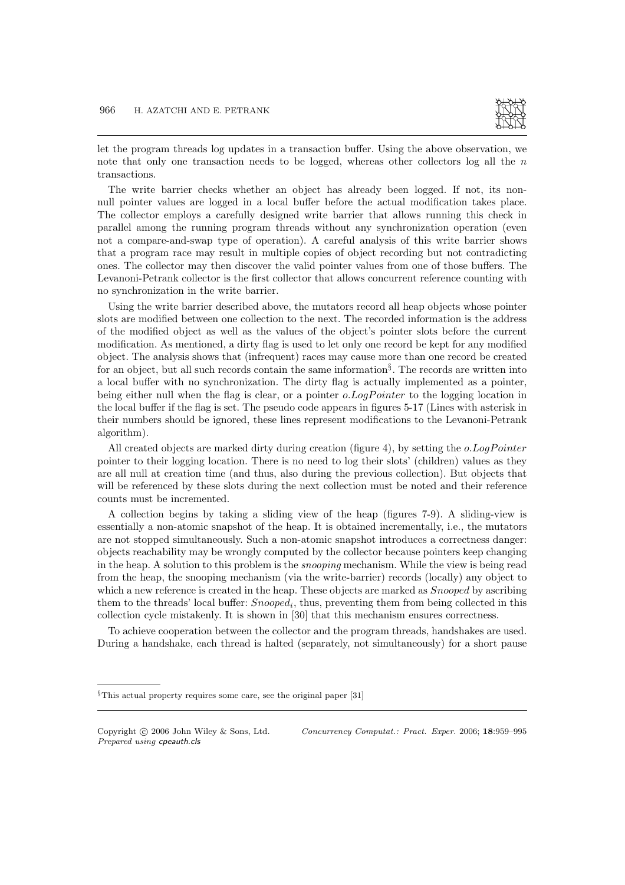

let the program threads log updates in a transaction buffer. Using the above observation, we note that only one transaction needs to be logged, whereas other collectors log all the  $n$ transactions.

The write barrier checks whether an object has already been logged. If not, its nonnull pointer values are logged in a local buffer before the actual modification takes place. The collector employs a carefully designed write barrier that allows running this check in parallel among the running program threads without any synchronization operation (even not a compare-and-swap type of operation). A careful analysis of this write barrier shows that a program race may result in multiple copies of object recording but not contradicting ones. The collector may then discover the valid pointer values from one of those buffers. The Levanoni-Petrank collector is the first collector that allows concurrent reference counting with no synchronization in the write barrier.

Using the write barrier described above, the mutators record all heap objects whose pointer slots are modified between one collection to the next. The recorded information is the address of the modified object as well as the values of the object's pointer slots before the current modification. As mentioned, a dirty flag is used to let only one record be kept for any modified object. The analysis shows that (infrequent) races may cause more than one record be created for an object, but all such records contain the same information<sup>§</sup>. The records are written into a local buffer with no synchronization. The dirty flag is actually implemented as a pointer, being either null when the flag is clear, or a pointer  $o. LogPointer$  to the logging location in the local buffer if the flag is set. The pseudo code appears in figures 5-17 (Lines with asterisk in their numbers should be ignored, these lines represent modifications to the Levanoni-Petrank algorithm).

All created objects are marked dirty during creation (figure 4), by setting the  $o. LogPointer$ pointer to their logging location. There is no need to log their slots' (children) values as they are all null at creation time (and thus, also during the previous collection). But objects that will be referenced by these slots during the next collection must be noted and their reference counts must be incremented.

A collection begins by taking a sliding view of the heap (figures 7-9). A sliding-view is essentially a non-atomic snapshot of the heap. It is obtained incrementally, i.e., the mutators are not stopped simultaneously. Such a non-atomic snapshot introduces a correctness danger: objects reachability may be wrongly computed by the collector because pointers keep changing in the heap. A solution to this problem is the snooping mechanism. While the view is being read from the heap, the snooping mechanism (via the write-barrier) records (locally) any object to which a new reference is created in the heap. These objects are marked as *Snooped* by ascribing them to the threads' local buffer:  $Snooped_i$ , thus, preventing them from being collected in this collection cycle mistakenly. It is shown in [30] that this mechanism ensures correctness.

To achieve cooperation between the collector and the program threads, handshakes are used. During a handshake, each thread is halted (separately, not simultaneously) for a short pause

<sup>§</sup>This actual property requires some care, see the original paper [31]

Copyright © 2006 John Wiley & Sons, Ltd. Concurrency Computat.: Pract. Exper. 2006; 18:959-995 Prepared using cpeauth.cls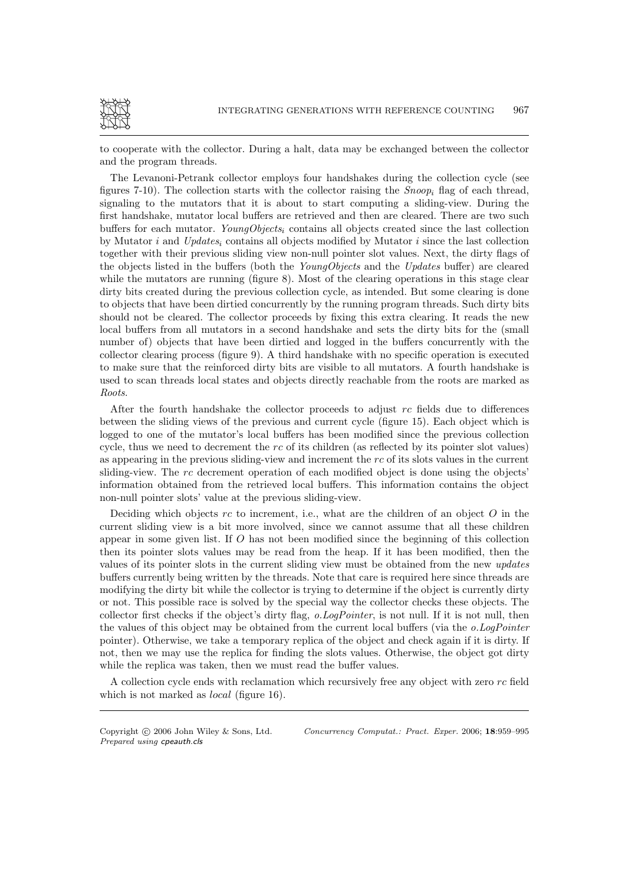

to cooperate with the collector. During a halt, data may be exchanged between the collector and the program threads.

The Levanoni-Petrank collector employs four handshakes during the collection cycle (see figures 7-10). The collection starts with the collector raising the *Snoop*; flag of each thread, signaling to the mutators that it is about to start computing a sliding-view. During the first handshake, mutator local buffers are retrieved and then are cleared. There are two such buffers for each mutator. YoungObjects<sub>i</sub> contains all objects created since the last collection by Mutator i and Updates<sub>i</sub> contains all objects modified by Mutator i since the last collection together with their previous sliding view non-null pointer slot values. Next, the dirty flags of the objects listed in the buffers (both the YoungObjects and the Updates buffer) are cleared while the mutators are running (figure 8). Most of the clearing operations in this stage clear dirty bits created during the previous collection cycle, as intended. But some clearing is done to objects that have been dirtied concurrently by the running program threads. Such dirty bits should not be cleared. The collector proceeds by fixing this extra clearing. It reads the new local buffers from all mutators in a second handshake and sets the dirty bits for the (small number of) objects that have been dirtied and logged in the buffers concurrently with the collector clearing process (figure 9). A third handshake with no specific operation is executed to make sure that the reinforced dirty bits are visible to all mutators. A fourth handshake is used to scan threads local states and objects directly reachable from the roots are marked as Roots.

After the fourth handshake the collector proceeds to adjust rc fields due to differences between the sliding views of the previous and current cycle (figure 15). Each object which is logged to one of the mutator's local buffers has been modified since the previous collection cycle, thus we need to decrement the  $rc$  of its children (as reflected by its pointer slot values) as appearing in the previous sliding-view and increment the  $rc$  of its slots values in the current sliding-view. The rc decrement operation of each modified object is done using the objects' information obtained from the retrieved local buffers. This information contains the object non-null pointer slots' value at the previous sliding-view.

Deciding which objects rc to increment, i.e., what are the children of an object  $O$  in the current sliding view is a bit more involved, since we cannot assume that all these children appear in some given list. If O has not been modified since the beginning of this collection then its pointer slots values may be read from the heap. If it has been modified, then the values of its pointer slots in the current sliding view must be obtained from the new *updates* buffers currently being written by the threads. Note that care is required here since threads are modifying the dirty bit while the collector is trying to determine if the object is currently dirty or not. This possible race is solved by the special way the collector checks these objects. The collector first checks if the object's dirty flag, o.LogPointer, is not null. If it is not null, then the values of this object may be obtained from the current local buffers (via the  $o. LoqPointer$ pointer). Otherwise, we take a temporary replica of the object and check again if it is dirty. If not, then we may use the replica for finding the slots values. Otherwise, the object got dirty while the replica was taken, then we must read the buffer values.

A collection cycle ends with reclamation which recursively free any object with zero rc field which is not marked as *local* (figure 16).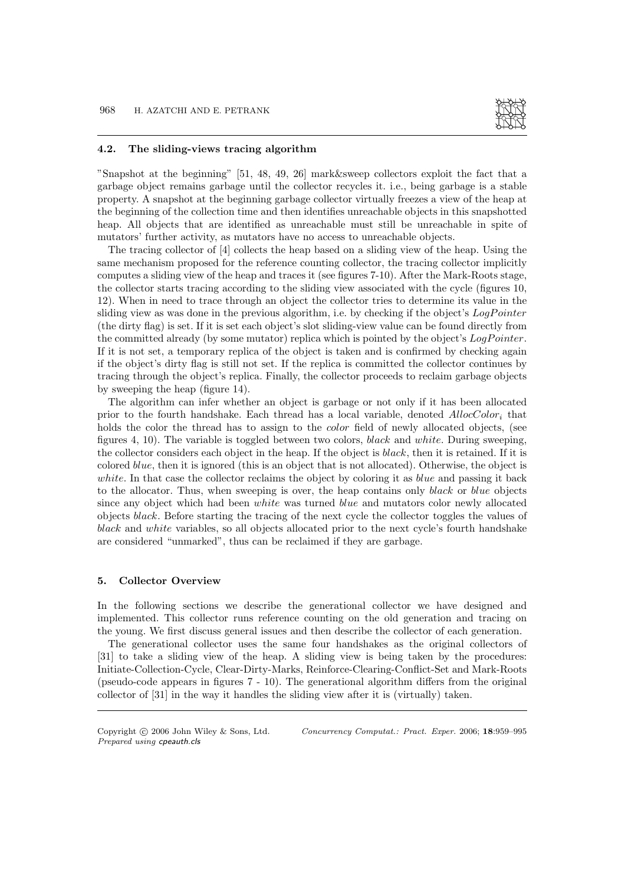

# 4.2. The sliding-views tracing algorithm

"Snapshot at the beginning" [51, 48, 49, 26] mark&sweep collectors exploit the fact that a garbage object remains garbage until the collector recycles it. i.e., being garbage is a stable property. A snapshot at the beginning garbage collector virtually freezes a view of the heap at the beginning of the collection time and then identifies unreachable objects in this snapshotted heap. All objects that are identified as unreachable must still be unreachable in spite of mutators' further activity, as mutators have no access to unreachable objects.

The tracing collector of [4] collects the heap based on a sliding view of the heap. Using the same mechanism proposed for the reference counting collector, the tracing collector implicitly computes a sliding view of the heap and traces it (see figures 7-10). After the Mark-Roots stage, the collector starts tracing according to the sliding view associated with the cycle (figures 10, 12). When in need to trace through an object the collector tries to determine its value in the sliding view as was done in the previous algorithm, i.e. by checking if the object's  $LogPointer$ (the dirty flag) is set. If it is set each object's slot sliding-view value can be found directly from the committed already (by some mutator) replica which is pointed by the object's LogPointer. If it is not set, a temporary replica of the object is taken and is confirmed by checking again if the object's dirty flag is still not set. If the replica is committed the collector continues by tracing through the object's replica. Finally, the collector proceeds to reclaim garbage objects by sweeping the heap (figure 14).

The algorithm can infer whether an object is garbage or not only if it has been allocated prior to the fourth handshake. Each thread has a local variable, denoted  $A llocColor_i$  that holds the color the thread has to assign to the *color* field of newly allocated objects, (see figures 4, 10). The variable is toggled between two colors, black and white. During sweeping, the collector considers each object in the heap. If the object is  $black$ , then it is retained. If it is colored blue, then it is ignored (this is an object that is not allocated). Otherwise, the object is white. In that case the collector reclaims the object by coloring it as *blue* and passing it back to the allocator. Thus, when sweeping is over, the heap contains only black or blue objects since any object which had been *white* was turned *blue* and mutators color newly allocated objects black. Before starting the tracing of the next cycle the collector toggles the values of black and white variables, so all objects allocated prior to the next cycle's fourth handshake are considered "unmarked", thus can be reclaimed if they are garbage.

# 5. Collector Overview

In the following sections we describe the generational collector we have designed and implemented. This collector runs reference counting on the old generation and tracing on the young. We first discuss general issues and then describe the collector of each generation.

The generational collector uses the same four handshakes as the original collectors of [31] to take a sliding view of the heap. A sliding view is being taken by the procedures: Initiate-Collection-Cycle, Clear-Dirty-Marks, Reinforce-Clearing-Conflict-Set and Mark-Roots (pseudo-code appears in figures 7 - 10). The generational algorithm differs from the original collector of [31] in the way it handles the sliding view after it is (virtually) taken.

Copyright © 2006 John Wiley & Sons, Ltd. Concurrency Computat.: Pract. Exper. 2006; 18:959-995 Prepared using cpeauth.cls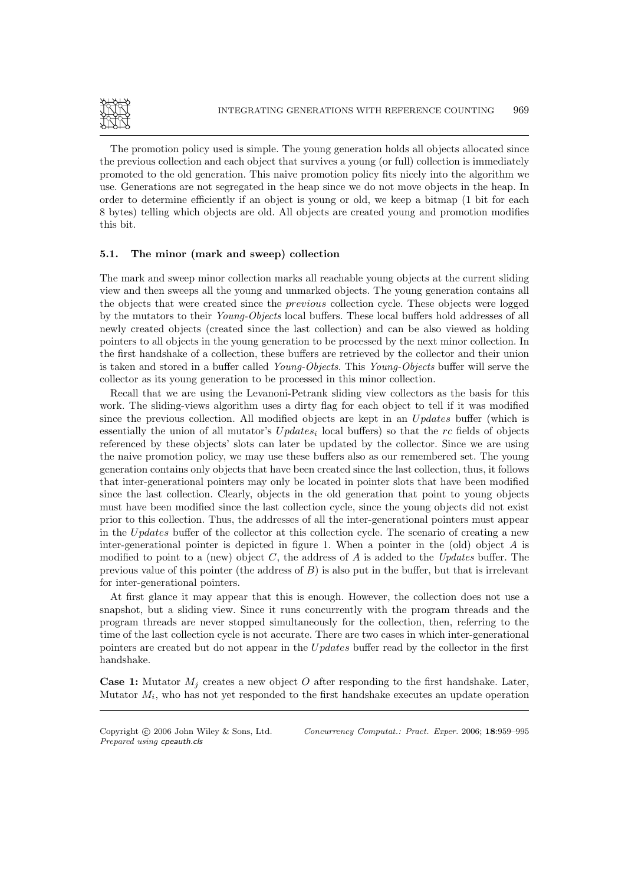

The promotion policy used is simple. The young generation holds all objects allocated since the previous collection and each object that survives a young (or full) collection is immediately promoted to the old generation. This naive promotion policy fits nicely into the algorithm we use. Generations are not segregated in the heap since we do not move objects in the heap. In order to determine efficiently if an object is young or old, we keep a bitmap (1 bit for each 8 bytes) telling which objects are old. All objects are created young and promotion modifies this bit.

# 5.1. The minor (mark and sweep) collection

The mark and sweep minor collection marks all reachable young objects at the current sliding view and then sweeps all the young and unmarked objects. The young generation contains all the objects that were created since the previous collection cycle. These objects were logged by the mutators to their Young-Objects local buffers. These local buffers hold addresses of all newly created objects (created since the last collection) and can be also viewed as holding pointers to all objects in the young generation to be processed by the next minor collection. In the first handshake of a collection, these buffers are retrieved by the collector and their union is taken and stored in a buffer called Young-Objects. This Young-Objects buffer will serve the collector as its young generation to be processed in this minor collection.

Recall that we are using the Levanoni-Petrank sliding view collectors as the basis for this work. The sliding-views algorithm uses a dirty flag for each object to tell if it was modified since the previous collection. All modified objects are kept in an Updates buffer (which is essentially the union of all mutator's  $Updates_i$  local buffers) so that the rc fields of objects referenced by these objects' slots can later be updated by the collector. Since we are using the naive promotion policy, we may use these buffers also as our remembered set. The young generation contains only objects that have been created since the last collection, thus, it follows that inter-generational pointers may only be located in pointer slots that have been modified since the last collection. Clearly, objects in the old generation that point to young objects must have been modified since the last collection cycle, since the young objects did not exist prior to this collection. Thus, the addresses of all the inter-generational pointers must appear in the  $Update$  buffer of the collector at this collection cycle. The scenario of creating a new inter-generational pointer is depicted in figure 1. When a pointer in the (old) object  $A$  is modified to point to a (new) object C, the address of A is added to the Updates buffer. The previous value of this pointer (the address of  $B$ ) is also put in the buffer, but that is irrelevant for inter-generational pointers.

At first glance it may appear that this is enough. However, the collection does not use a snapshot, but a sliding view. Since it runs concurrently with the program threads and the program threads are never stopped simultaneously for the collection, then, referring to the time of the last collection cycle is not accurate. There are two cases in which inter-generational pointers are created but do not appear in the Updates buffer read by the collector in the first handshake.

**Case 1:** Mutator  $M_j$  creates a new object O after responding to the first handshake. Later, Mutator  $M_i$ , who has not yet responded to the first handshake executes an update operation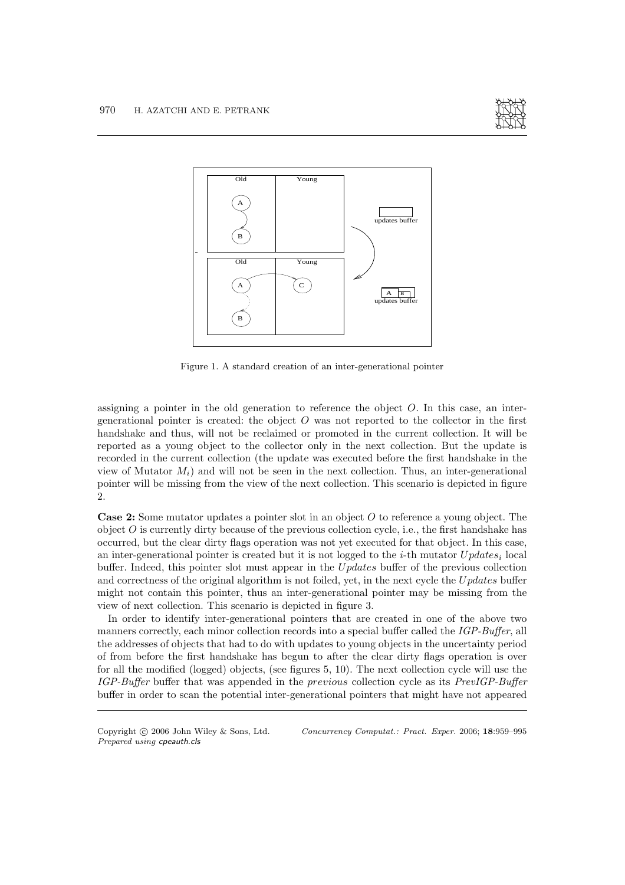



Figure 1. A standard creation of an inter-generational pointer

assigning a pointer in the old generation to reference the object O. In this case, an intergenerational pointer is created: the object  $O$  was not reported to the collector in the first handshake and thus, will not be reclaimed or promoted in the current collection. It will be reported as a young object to the collector only in the next collection. But the update is recorded in the current collection (the update was executed before the first handshake in the view of Mutator  $M_i$ ) and will not be seen in the next collection. Thus, an inter-generational pointer will be missing from the view of the next collection. This scenario is depicted in figure 2.

Case 2: Some mutator updates a pointer slot in an object O to reference a young object. The object  $O$  is currently dirty because of the previous collection cycle, i.e., the first handshake has occurred, but the clear dirty flags operation was not yet executed for that object. In this case, an inter-generational pointer is created but it is not logged to the *i*-th mutator  $Update_i$  local buffer. Indeed, this pointer slot must appear in the Updates buffer of the previous collection and correctness of the original algorithm is not foiled, yet, in the next cycle the Updates buffer might not contain this pointer, thus an inter-generational pointer may be missing from the view of next collection. This scenario is depicted in figure 3.

In order to identify inter-generational pointers that are created in one of the above two manners correctly, each minor collection records into a special buffer called the IGP-Buffer, all the addresses of objects that had to do with updates to young objects in the uncertainty period of from before the first handshake has begun to after the clear dirty flags operation is over for all the modified (logged) objects, (see figures 5, 10). The next collection cycle will use the IGP-Buffer buffer that was appended in the previous collection cycle as its PrevIGP-Buffer buffer in order to scan the potential inter-generational pointers that might have not appeared

Copyright © 2006 John Wiley & Sons, Ltd. Concurrency Computat.: Pract. Exper. 2006; 18:959-995 Prepared using cpeauth.cls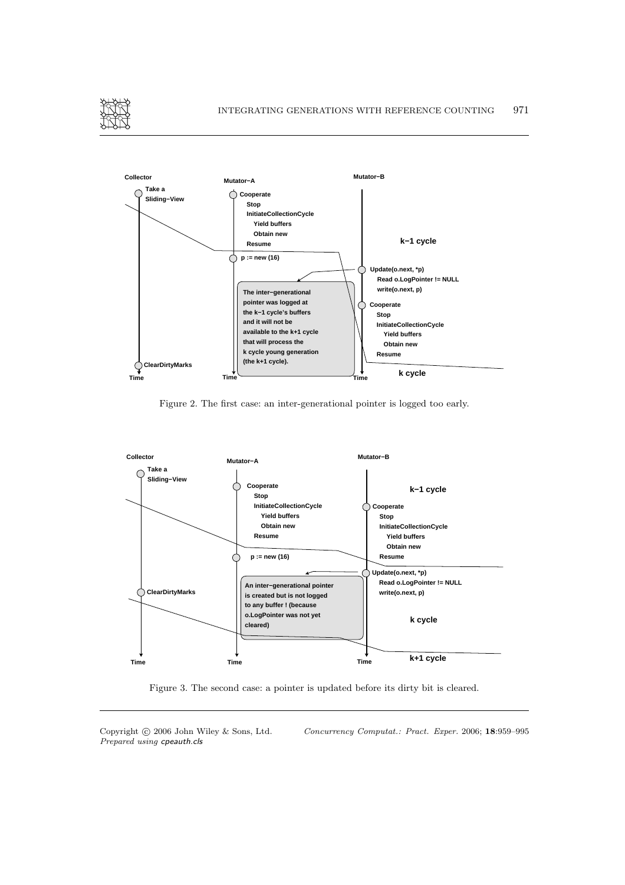



Figure 2. The first case: an inter-generational pointer is logged too early.



Figure 3. The second case: a pointer is updated before its dirty bit is cleared.

Prepared using cpeauth.cls

Copyright © 2006 John Wiley & Sons, Ltd. Concurrency Computat.: Pract. Exper. 2006; 18:959-995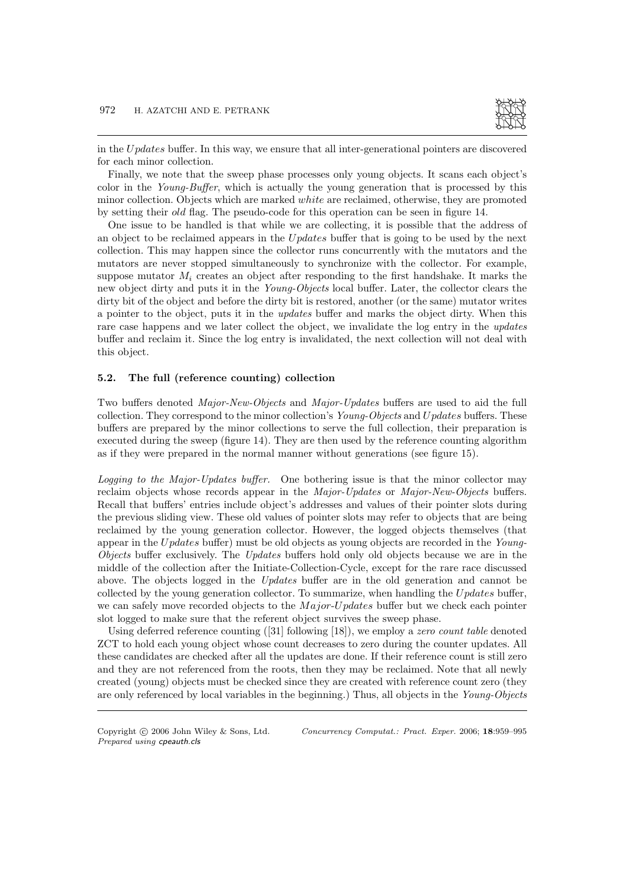

in the  $Updates$  buffer. In this way, we ensure that all inter-generational pointers are discovered for each minor collection.

Finally, we note that the sweep phase processes only young objects. It scans each object's color in the Young-Buffer, which is actually the young generation that is processed by this minor collection. Objects which are marked white are reclaimed, otherwise, they are promoted by setting their old flag. The pseudo-code for this operation can be seen in figure 14.

One issue to be handled is that while we are collecting, it is possible that the address of an object to be reclaimed appears in the U pdates buffer that is going to be used by the next collection. This may happen since the collector runs concurrently with the mutators and the mutators are never stopped simultaneously to synchronize with the collector. For example, suppose mutator  $M_i$  creates an object after responding to the first handshake. It marks the new object dirty and puts it in the Young-Objects local buffer. Later, the collector clears the dirty bit of the object and before the dirty bit is restored, another (or the same) mutator writes a pointer to the object, puts it in the updates buffer and marks the object dirty. When this rare case happens and we later collect the object, we invalidate the log entry in the updates buffer and reclaim it. Since the log entry is invalidated, the next collection will not deal with this object.

## 5.2. The full (reference counting) collection

Two buffers denoted Major-New-Objects and Major-Updates buffers are used to aid the full collection. They correspond to the minor collection's Young-Objects and Updates buffers. These buffers are prepared by the minor collections to serve the full collection, their preparation is executed during the sweep (figure 14). They are then used by the reference counting algorithm as if they were prepared in the normal manner without generations (see figure 15).

Logging to the Major-Updates buffer. One bothering issue is that the minor collector may reclaim objects whose records appear in the *Major-Updates* or *Major-New-Objects* buffers. Recall that buffers' entries include object's addresses and values of their pointer slots during the previous sliding view. These old values of pointer slots may refer to objects that are being reclaimed by the young generation collector. However, the logged objects themselves (that appear in the U pdates buffer) must be old objects as young objects are recorded in the Young-Objects buffer exclusively. The Updates buffers hold only old objects because we are in the middle of the collection after the Initiate-Collection-Cycle, except for the rare race discussed above. The objects logged in the Updates buffer are in the old generation and cannot be collected by the young generation collector. To summarize, when handling the  $Updates$  buffer, we can safely move recorded objects to the  $Major-U$  pdates buffer but we check each pointer slot logged to make sure that the referent object survives the sweep phase.

Using deferred reference counting  $(31]$  following  $[18]$ , we employ a zero count table denoted ZCT to hold each young object whose count decreases to zero during the counter updates. All these candidates are checked after all the updates are done. If their reference count is still zero and they are not referenced from the roots, then they may be reclaimed. Note that all newly created (young) objects must be checked since they are created with reference count zero (they are only referenced by local variables in the beginning.) Thus, all objects in the Young-Objects

Copyright © 2006 John Wiley & Sons, Ltd. Concurrency Computat.: Pract. Exper. 2006; 18:959-995 Prepared using cpeauth.cls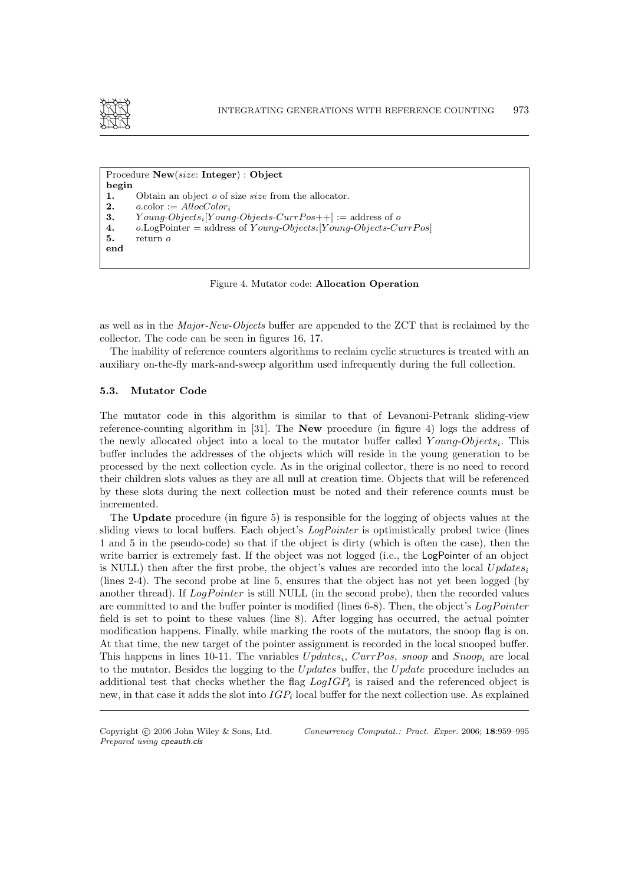

```
Procedure New(size: Integer) : Object
begin
1. Obtain an object o of size size from the allocator.
2. o{\mathit{.color}} := AllocColor_i3. Young-Objects<sub>i</sub>[Young-Objects-CurrPos++] := address of o
4. o. LogPointer = address of Young-Objects<sub>i</sub>[Young-Objects-CurrPos]5. return o
end
```
Figure 4. Mutator code: Allocation Operation

as well as in the Major-New-Objects buffer are appended to the ZCT that is reclaimed by the collector. The code can be seen in figures 16, 17.

The inability of reference counters algorithms to reclaim cyclic structures is treated with an auxiliary on-the-fly mark-and-sweep algorithm used infrequently during the full collection.

# 5.3. Mutator Code

The mutator code in this algorithm is similar to that of Levanoni-Petrank sliding-view reference-counting algorithm in [31]. The New procedure (in figure 4) logs the address of the newly allocated object into a local to the mutator buffer called  $Young-Objects_i$ . This buffer includes the addresses of the objects which will reside in the young generation to be processed by the next collection cycle. As in the original collector, there is no need to record their children slots values as they are all null at creation time. Objects that will be referenced by these slots during the next collection must be noted and their reference counts must be incremented.

The Update procedure (in figure 5) is responsible for the logging of objects values at the sliding views to local buffers. Each object's *LogPointer* is optimistically probed twice (lines 1 and 5 in the pseudo-code) so that if the object is dirty (which is often the case), then the write barrier is extremely fast. If the object was not logged (i.e., the LogPointer of an object is NULL) then after the first probe, the object's values are recorded into the local  $Update_i$ (lines 2-4). The second probe at line 5, ensures that the object has not yet been logged (by another thread). If  $LogPointer$  is still NULL (in the second probe), then the recorded values are committed to and the buffer pointer is modified (lines 6-8). Then, the object's LogPointer field is set to point to these values (line 8). After logging has occurred, the actual pointer modification happens. Finally, while marking the roots of the mutators, the snoop flag is on. At that time, the new target of the pointer assignment is recorded in the local snooped buffer. This happens in lines 10-11. The variables  $Up dates_i$ ,  $CurrPos$ , snoop and  $Snop_i$  are local to the mutator. Besides the logging to the U pdates buffer, the U pdate procedure includes an additional test that checks whether the flag  $LogIGP_i$  is raised and the referenced object is new, in that case it adds the slot into  $IGP_i$  local buffer for the next collection use. As explained

Copyright © 2006 John Wiley & Sons, Ltd. Concurrency Computat.: Pract. Exper. 2006; 18:959-995 Prepared using cpeauth.cls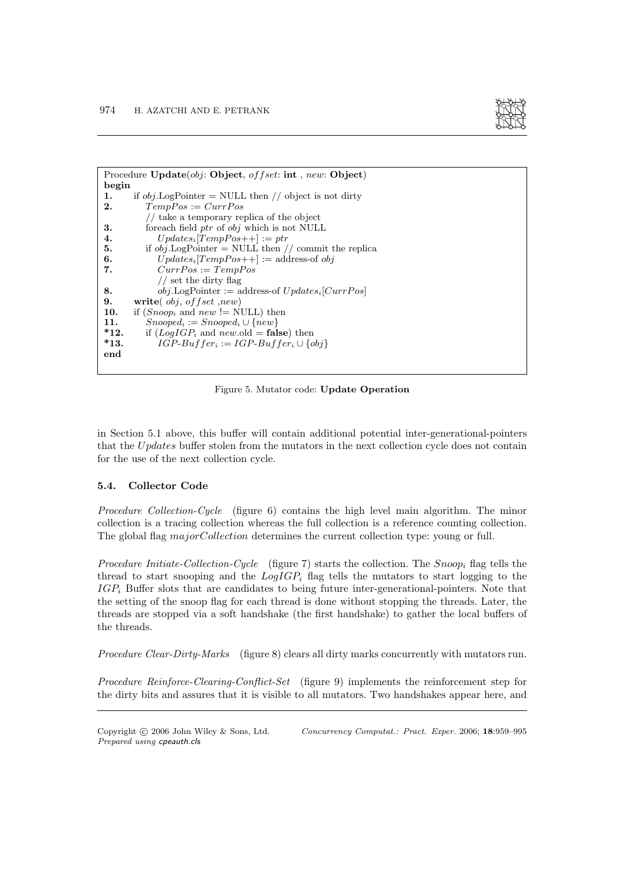

```
Procedure Update(obj: Object, of fset: int, new: Object)
begin
1. if obj.LogPointer = NULL then // object is not dirty
2. TempPos := CurrPos// take a temporary replica of the object
3. for foreach field ptr of obj which is not NULL
4. Updates_i[TempPos++] := ptr5. if obj\text{-}LogPointer = NULL then // commit the replica
6. Updates_i[TempPos++] := address-ofobj7. CurrPos := TempPos// set the dirty flag
8. obj\text{-}LogPointer := address-of\text{ }Updates_i[CurrPos]9. write(obj, offset, new)
10. if (Snoop_i and new \geq NULL then
11. Snooped<sub>i</sub> := Snooped<sub>i</sub> ∪ {new}
*12. if (LogIGP_i \text{ and } new.\text{old} = \text{false}) then<br>*13. IGP-Buffer_i := IGP-Buffer_i \cup \{o\}IGP-Buffer_i := IGP-Buffer_i \cup \{obj\}end
```
Figure 5. Mutator code: Update Operation

in Section 5.1 above, this buffer will contain additional potential inter-generational-pointers that the U pdates buffer stolen from the mutators in the next collection cycle does not contain for the use of the next collection cycle.

# 5.4. Collector Code

Procedure Collection-Cycle (figure 6) contains the high level main algorithm. The minor collection is a tracing collection whereas the full collection is a reference counting collection. The global flag *majorCollection* determines the current collection type: young or full.

*Procedure Initiate-Collection-Cycle* (figure 7) starts the collection. The  $Snoop_i$  flag tells the thread to start snooping and the  $LogIGP_i$  flag tells the mutators to start logging to the  $IGP_i$  Buffer slots that are candidates to being future inter-generational-pointers. Note that the setting of the snoop flag for each thread is done without stopping the threads. Later, the threads are stopped via a soft handshake (the first handshake) to gather the local buffers of the threads.

Procedure Clear-Dirty-Marks (figure 8) clears all dirty marks concurrently with mutators run.

Procedure Reinforce-Clearing-Conflict-Set (figure 9) implements the reinforcement step for the dirty bits and assures that it is visible to all mutators. Two handshakes appear here, and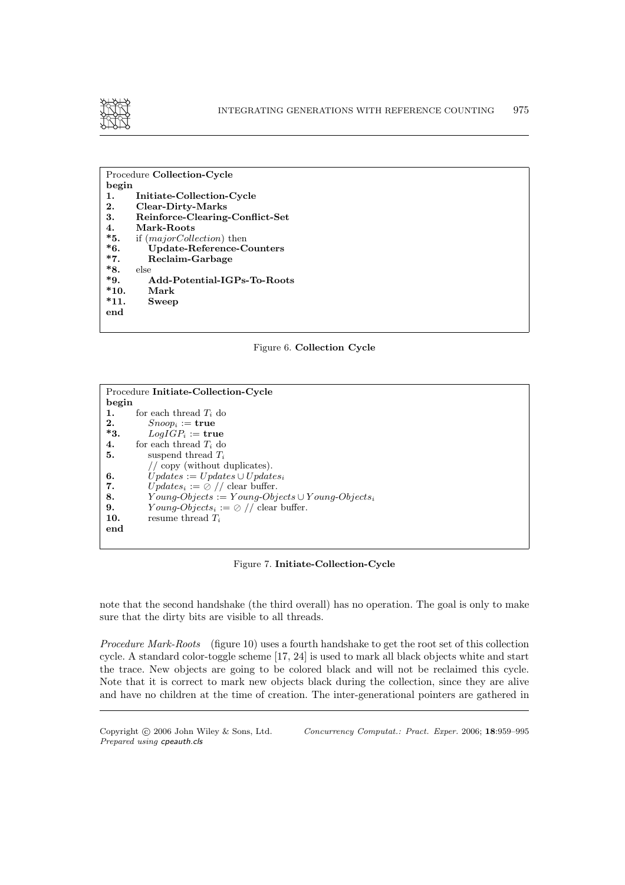

Procedure Collection-Cycle begin 1. Initiate-Collection-Cycle<br>2. Clear-Dirty-Marks

- 2. Clear-Dirty-Marks
- 3. Reinforce-Clearing-Conflict-Set
- 4. Mark-Roots<br>\*5. if  $(majorColle$
- \*5. if  $(majorCollection)$  then<br>\*6. Update-Reference-C
- \*6. Update-Reference-Counters
- ${\bf Reclaim-Garbage}$ else
- $*_{8.}$
- \*9. Add-Potential-IGPs-To-Roots
- $*10.$  Mark<br> $*11.$  Sweet Sweep
- 

end



|          | Procedure Initiate-Collection-Cycle                      |
|----------|----------------------------------------------------------|
| begin    |                                                          |
| 1.       | for each thread $T_i$ do                                 |
| 2.       | $S_{\mathit{noop}_i} := \mathbf{true}$                   |
| $*_{3.}$ | $LogIGP_i := \mathbf{true}$                              |
| 4.       | for each thread $T_i$ do                                 |
| 5.       | suspend thread $T_i$                                     |
|          | // copy (without duplicates).                            |
| 6.       | $Updates := Updates \cup Updates_i$                      |
| 7.       | $Updates_i := \oslash //$ clear buffer.                  |
| 8.       | $Young-Objects := Young-Objects \cup Young-Objects_i$    |
| 9.       | Young-Objects <sub>i</sub> := $\oslash$ // clear buffer. |
| 10.      | resume thread $T_i$                                      |
| end      |                                                          |

# Figure 7. Initiate-Collection-Cycle

note that the second handshake (the third overall) has no operation. The goal is only to make sure that the dirty bits are visible to all threads.

Procedure Mark-Roots (figure 10) uses a fourth handshake to get the root set of this collection cycle. A standard color-toggle scheme [17, 24] is used to mark all black objects white and start the trace. New objects are going to be colored black and will not be reclaimed this cycle. Note that it is correct to mark new objects black during the collection, since they are alive and have no children at the time of creation. The inter-generational pointers are gathered in

Copyright © 2006 John Wiley & Sons, Ltd. Concurrency Computat.: Pract. Exper. 2006; 18:959-995 Prepared using cpeauth.cls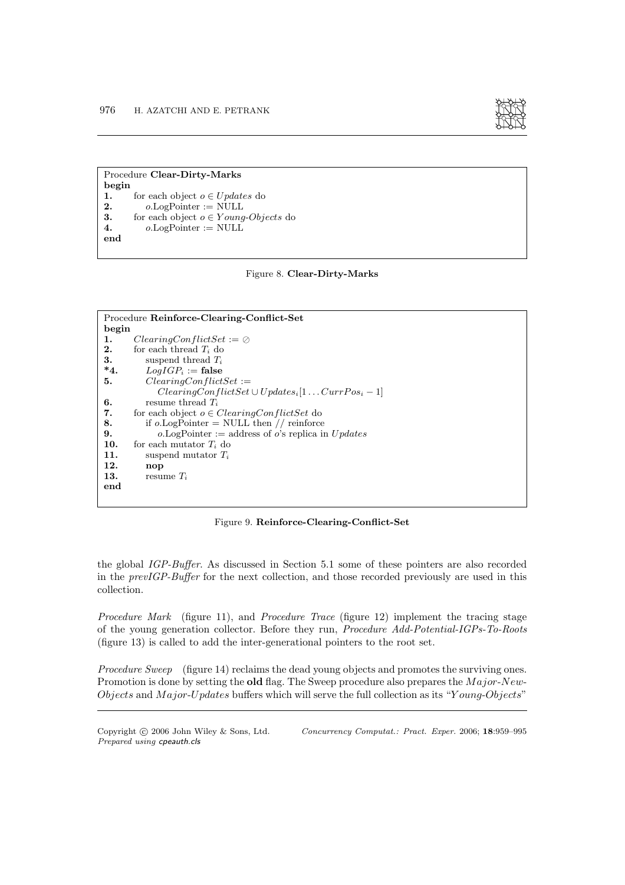

```
Procedure Clear-Dirty-Marks
begin
1. for each object o \in Updates do
2. o.\text{LogPointer} := \text{NULL}3. for each object o \in Young-Objects do
4. o.\text{LogPointer} := \text{NULL}end
```
# Figure 8. Clear-Dirty-Marks

```
Procedure Reinforce-Clearing-Conflict-Set
begin
1. ClearingConflictSet := \oslash2. for each thread T_i do
3. suspend thread T_i<br>*4. LogIGP_i := \textbf{false}LogIGP_i := \textbf{false}5. ClearingConflictSet :=Clearlying ConflictSet \cup Updates_i[1...CurrPos_i-1]6. resume thread \overline{T_i}7. for each object o \in ClearingConflictSet do
8. if o.\text{LogPointer} = \text{NULL} then // reinforce
9. o.\text{LogPointer} := \text{address of } o's \text{ replica in } Up dates10. for each mutator T_i do 11. suspend mutator T_i11. suspend mutator T_i 12. nop
           nop
13. resume T_iend
```
Figure 9. Reinforce-Clearing-Conflict-Set

the global IGP-Buffer. As discussed in Section 5.1 some of these pointers are also recorded in the  $prevIGP-Buffer$  for the next collection, and those recorded previously are used in this collection.

Procedure Mark (figure 11), and Procedure Trace (figure 12) implement the tracing stage of the young generation collector. Before they run, Procedure Add-Potential-IGPs-To-Roots (figure 13) is called to add the inter-generational pointers to the root set.

Procedure Sweep (figure 14) reclaims the dead young objects and promotes the surviving ones. Promotion is done by setting the old flag. The Sweep procedure also prepares the  $Major\text{-}New\text{-}$ Objects and  $Major-Up dates$  buffers which will serve the full collection as its "Young-Objects"

Copyright © 2006 John Wiley & Sons, Ltd. Concurrency Computat.: Pract. Exper. 2006; 18:959-995 Prepared using cpeauth.cls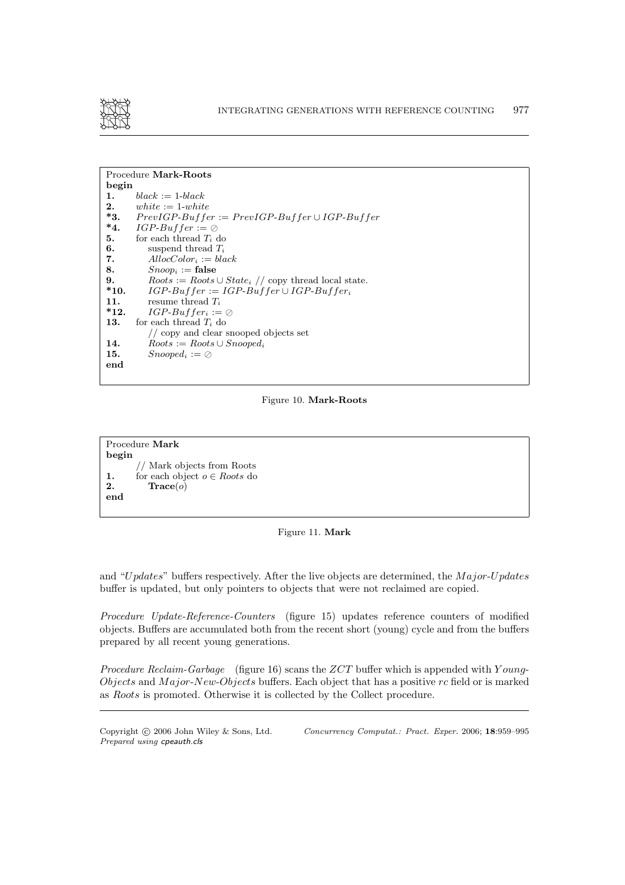

|        | Procedure Mark-Roots                                      |
|--------|-----------------------------------------------------------|
| begin  |                                                           |
| 1.     | $black := 1$ -black                                       |
| 2.     | white $:= 1$ -white                                       |
| $*3.$  | $PrevIGP-Buffer := PrevIGP-Buffer \cup IGP-Buffer$        |
| $^*4.$ | $IGP-Buffer := \oslash$                                   |
| 5.     | for each thread $T_i$ do                                  |
| 6.     | suspend thread $T_i$                                      |
| 7.     | $A llocColor_i := black$                                  |
| 8.     | $S_{\text{noop}_i} := \text{false}$                       |
| 9.     | $Roots := Roots \cup State_i$ // copy thread local state. |
| $*10.$ | $IGP-Buffer := IGP-Buffer \cup IGP-Buffer_i$              |
| 11.    | resume thread $T_i$                                       |
| $*12.$ | $IGP-Buffer_i := \oslash$                                 |
| 13.    | for each thread $T_i$ do                                  |
|        | // copy and clear snooped objects set                     |
| 14.    | $Roots := Roots \cupխoped_i$                              |
| 15.    | $Snooped_i := \oslash$                                    |
| end    |                                                           |
|        |                                                           |

#### Figure 10. Mark-Roots

Procedure Mark begin // Mark objects from Roots 1. for each object  $o \in Roots$  do 2. Trace $(o)$ end



and " $Updates$ " buffers respectively. After the live objects are determined, the  $Major$ Updates buffer is updated, but only pointers to objects that were not reclaimed are copied.

Procedure Update-Reference-Counters (figure 15) updates reference counters of modified objects. Buffers are accumulated both from the recent short (young) cycle and from the buffers prepared by all recent young generations.

Procedure Reclaim-Garbage (figure 16) scans the ZCT buffer which is appended with Y oung-Objects and  $Major\text{-}New\text{-}Objects$  buffers. Each object that has a positive rc field or is marked as Roots is promoted. Otherwise it is collected by the Collect procedure.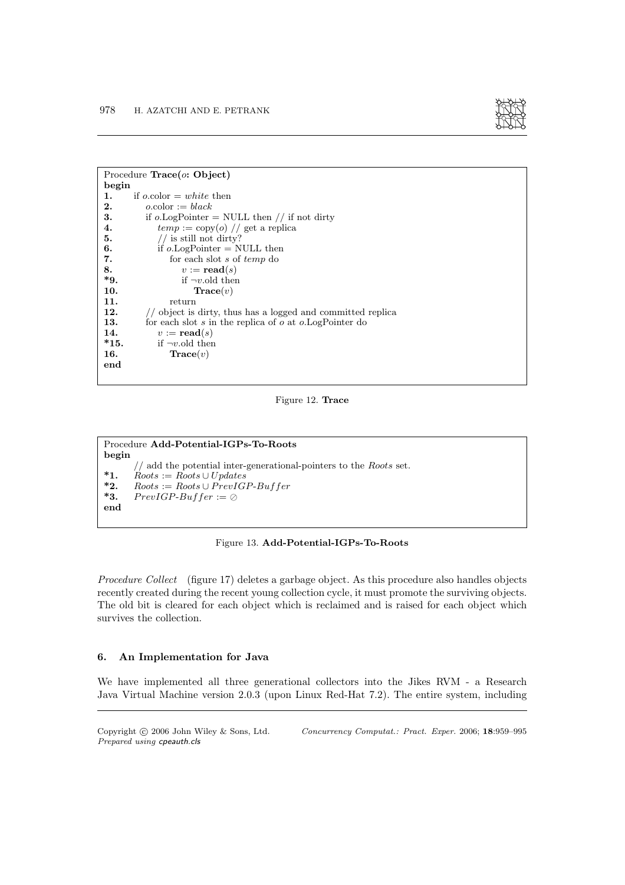

```
Procedure Trace(o: Object)
begin
1. if o\text{-color} = white then<br>2. o\text{-color} := blacko{\mathit{.color}}:=black3. if o.\text{LogPointer} = \text{NULL} then // if not dirty
4. temp := \text{copy}(o) // get a replica5. // is still not dirty?
6. if o.\text{LogPointer} = \text{NULL} then
7. for each slot s of temp do
8. v := \text{read}(s)*9. if \neg v. old then
10. Trace(v)11. return
12. \frac{1}{2} // object is dirty, thus has a logged and committed replica
13. for each slot s in the replica of o at o. LogPointer do
14. v := \text{read}(s)*15. if \neg v.old then<br>16. Trace(v)Trace(v)end
```
#### Figure 12. Trace

```
Procedure Add-Potential-IGPs-To-Roots
begin
          // add the potential inter-generational-pointers to the Roots set.
*1. Roots := Roots \cup Updates<br>*2. Roots := Roots \cup PrevIG.
*2. Roots := Roots ∪ PrevIGP-Buffer<br>*3. PrevIGP-Buffer := \oslashPrevIGP-Buffer := \oslashend
```
# Figure 13. Add-Potential-IGPs-To-Roots

Procedure Collect (figure 17) deletes a garbage object. As this procedure also handles objects recently created during the recent young collection cycle, it must promote the surviving objects. The old bit is cleared for each object which is reclaimed and is raised for each object which survives the collection.

# 6. An Implementation for Java

We have implemented all three generational collectors into the Jikes RVM - a Research Java Virtual Machine version 2.0.3 (upon Linux Red-Hat 7.2). The entire system, including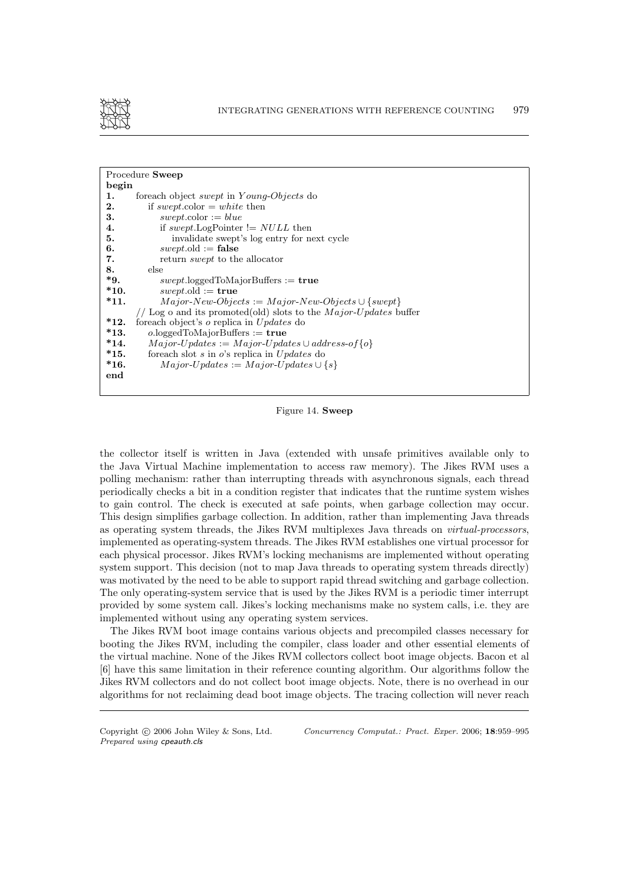

|        | Procedure Sweep                                                                     |
|--------|-------------------------------------------------------------------------------------|
| begin  |                                                                                     |
| 1.     | foreach object <i>swept</i> in <i>Young-Objects</i> do                              |
| 2.     | if swept.color $= white$ then                                                       |
| 3.     | $swept{\rm .color}:=blue$                                                           |
| 4.     | if swept.LogPointer $!= NULL$ then                                                  |
| 5.     | invalidate swept's log entry for next cycle                                         |
| 6.     | $swept$ .old := false                                                               |
| 7.     | return <i>swept</i> to the allocator                                                |
| 8.     | else                                                                                |
| *9.    | $swept.\log{\rm gcdToMajorBuffers} := true$                                         |
| $*10.$ | $swept.$ old $:=$ true                                                              |
| $*11.$ | $Major\text{-}New\text{-}Objects := Major\text{-}New\text{-}Objects \cup \{swept\}$ |
|        | // Log o and its promoted (old) slots to the <i>Major-Updates</i> buffer            |
| $*12.$ | foreach object's o replica in Updates do                                            |
| $*13.$ | $o.\text{loggedToMajorBuffers} := \text{true}$                                      |
| $*14.$ | $Major-Up dates := Major-Up dates \cup address-of\{o\}$                             |
| $*15.$ | for each slot s in o's replica in $Updates$ do                                      |
| $*16.$ | $Major-Updates := Major-Updates \cup \{s\}$                                         |
| end    |                                                                                     |
|        |                                                                                     |

Figure 14. Sweep

the collector itself is written in Java (extended with unsafe primitives available only to the Java Virtual Machine implementation to access raw memory). The Jikes RVM uses a polling mechanism: rather than interrupting threads with asynchronous signals, each thread periodically checks a bit in a condition register that indicates that the runtime system wishes to gain control. The check is executed at safe points, when garbage collection may occur. This design simplifies garbage collection. In addition, rather than implementing Java threads as operating system threads, the Jikes RVM multiplexes Java threads on virtual-processors, implemented as operating-system threads. The Jikes RVM establishes one virtual processor for each physical processor. Jikes RVM's locking mechanisms are implemented without operating system support. This decision (not to map Java threads to operating system threads directly) was motivated by the need to be able to support rapid thread switching and garbage collection. The only operating-system service that is used by the Jikes RVM is a periodic timer interrupt provided by some system call. Jikes's locking mechanisms make no system calls, i.e. they are implemented without using any operating system services.

The Jikes RVM boot image contains various objects and precompiled classes necessary for booting the Jikes RVM, including the compiler, class loader and other essential elements of the virtual machine. None of the Jikes RVM collectors collect boot image objects. Bacon et al [6] have this same limitation in their reference counting algorithm. Our algorithms follow the Jikes RVM collectors and do not collect boot image objects. Note, there is no overhead in our algorithms for not reclaiming dead boot image objects. The tracing collection will never reach

Copyright © 2006 John Wiley & Sons, Ltd. Concurrency Computat.: Pract. Exper. 2006; 18:959-995 Prepared using cpeauth.cls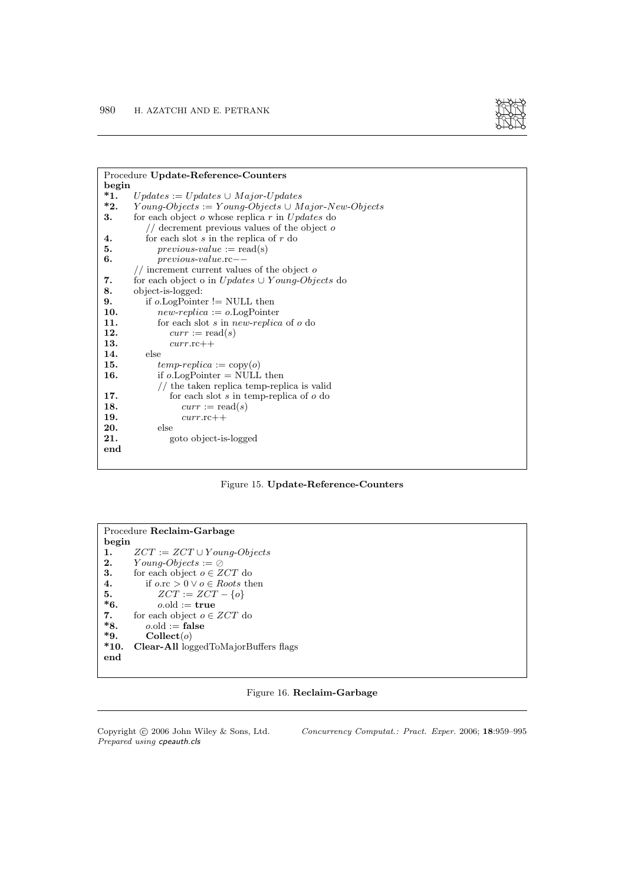

|          | Procedure Update-Reference-Counters                     |
|----------|---------------------------------------------------------|
| begin    |                                                         |
| $*_{1.}$ | $Updates := Updates \cup Major-Up dates$                |
| $^*2.$   | $Young-Objects := Young-Objects \cup Major-New-Objects$ |
| 3.       | for each object $o$ whose replica $r$ in $Updates$ do   |
|          | // decrement previous values of the object $\rho$       |
| 4.       | for each slot $s$ in the replica of $r$ do              |
| 5.       | $previous-value := read(s)$                             |
| 6.       | $previous-value$ .rc $--$                               |
|          | // increment current values of the object $\rho$        |
| 7.       | for each object o in $Updates \cup Young-Objects$ do    |
| 8.       | object-is-logged:                                       |
| 9.       | if $o.\text{LogPointer} := \text{NULL}$ then            |
| 10.      | $new-replica := o.LogPointer$                           |
| 11.      | for each slot $s$ in new-replica of $o$ do              |
| 12.      | $curr := read(s)$                                       |
| 13.      | $curr.rc++$                                             |
| 14.      | else                                                    |
| 15.      | $temp-replica := copy(o)$                               |
| 16.      | if $o.\text{LogPointer} = \text{NULL}$ then             |
|          | $//$ the taken replica temp-replica is valid            |
| 17.      | for each slot $s$ in temp-replica of $o$ do             |
| 18.      | $curr := read(s)$                                       |
| 19.      | $curr.rc++$                                             |
| 20.      | else                                                    |
| 21.      | goto object-is-logged                                   |
| end      |                                                         |
|          |                                                         |

Figure 15. Update-Reference-Counters

Procedure Reclaim-Garbage  $\begin{array}{c}\text{begin}\n1.\end{array}$  $\mathit{ZCT} := \mathit{ZCT} \cup Young\text{-}Objects$ **2.** Young-Objects :=  $\oslash$ <br>**3.** for each object  $o \in Z$ for each object  $o \in ZCT$  do 4. if  $o.\text{rc} > 0 \lor o \in Roots$  then 5.  $ZCT := ZCT - \{o\}$  $*6.$   $o.\text{old} := \text{true}$ 7. for each object  $o \in ZCT$  do<br>\*8.  $o$ .old := **false** \*8.  $o.\text{old} := \text{false}$ <br>\*9.  $\text{Collect}(o)$ \*9. Collect( $o$ )<br>\*10. Clear-All log \*10. Clear-All loggedToMajorBuffers flags end

# Figure 16. Reclaim-Garbage

Prepared using cpeauth.cls

Copyright © 2006 John Wiley & Sons, Ltd. Concurrency Computat.: Pract. Exper. 2006; 18:959-995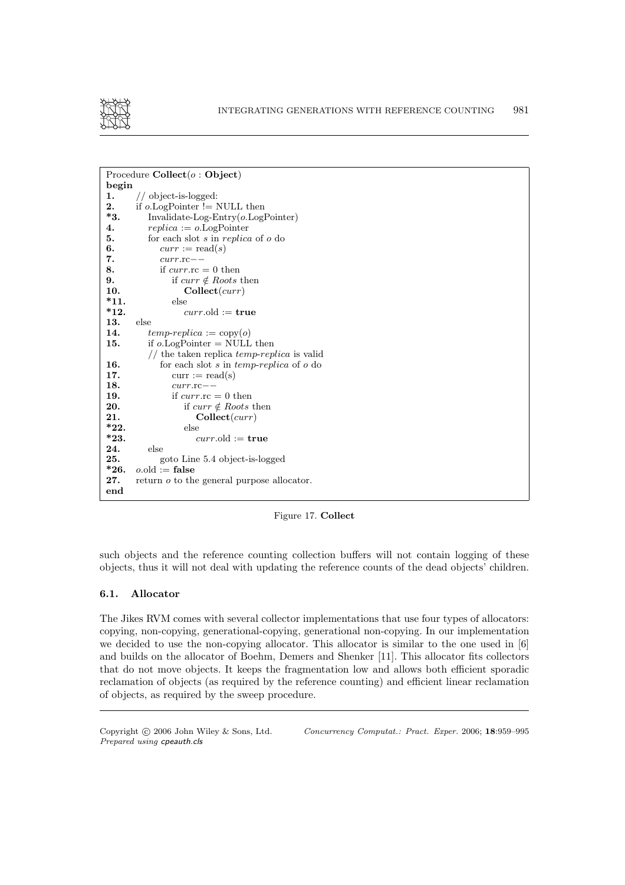

```
Procedure Collect(o : Object)
begin
1. // object-is-logged:
2. if o.\text{LogPointer} != \text{NULL} then<br>*3. Invalidate-Log-Entry(o.\text{Log}*3. Invalidate-Log-Entry(o.LogPointer)
4. replica := o.\overline{LogPointer}5. for each slot s in replica of o do
6. curr := read(s)7. curr.rc−−
8. if curr.rc = 0 then
9. if curr \notin Roots then
10. Collect (curr)
*11. else<br>*12. ccurr.old := true
13. else
14. temp-replica := copy(o)15. if o.\text{LogPointer} = \text{NULL} then
         // the taken replica temp-replica is valid
16. for each slot s in temp-replica of o do
17. curr := read(s)18. curr.rc−−
19. if curr.rc = 0 then
20. if curr \notin Roots then
21. Collect (curr)
*22. else<br>*23. \qquad \qquadcurr.old := true
24. else
25. goto Line 5.4 object-is-logged<br>*26. \alphaold := false
      o.\text{old} := \text{false}27. return o to the general purpose allocator.
end
```
Figure 17. Collect

such objects and the reference counting collection buffers will not contain logging of these objects, thus it will not deal with updating the reference counts of the dead objects' children.

# 6.1. Allocator

The Jikes RVM comes with several collector implementations that use four types of allocators: copying, non-copying, generational-copying, generational non-copying. In our implementation we decided to use the non-copying allocator. This allocator is similar to the one used in [6] and builds on the allocator of Boehm, Demers and Shenker [11]. This allocator fits collectors that do not move objects. It keeps the fragmentation low and allows both efficient sporadic reclamation of objects (as required by the reference counting) and efficient linear reclamation of objects, as required by the sweep procedure.

Copyright © 2006 John Wiley & Sons, Ltd. Concurrency Computat.: Pract. Exper. 2006; 18:959-995 Prepared using cpeauth.cls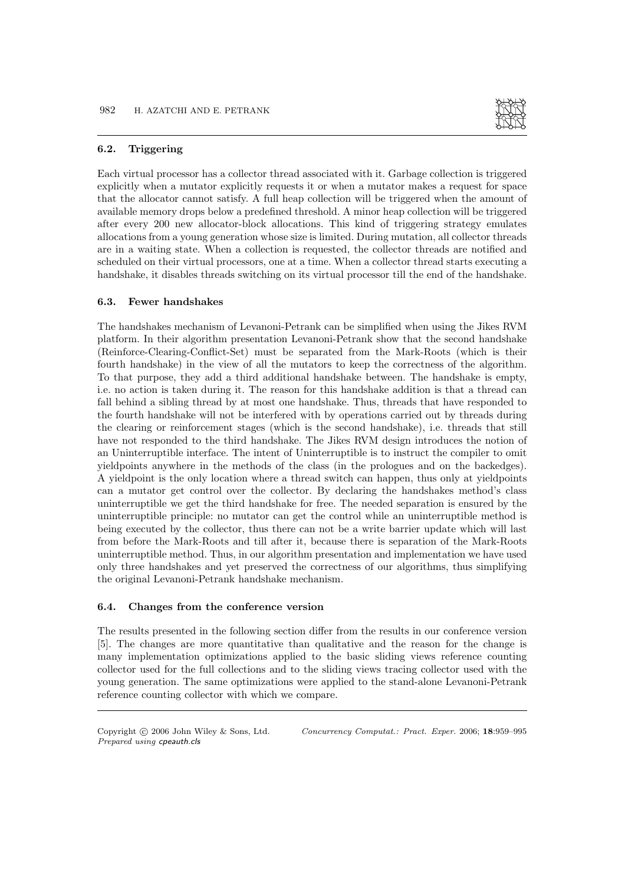

# 6.2. Triggering

Each virtual processor has a collector thread associated with it. Garbage collection is triggered explicitly when a mutator explicitly requests it or when a mutator makes a request for space that the allocator cannot satisfy. A full heap collection will be triggered when the amount of available memory drops below a predefined threshold. A minor heap collection will be triggered after every 200 new allocator-block allocations. This kind of triggering strategy emulates allocations from a young generation whose size is limited. During mutation, all collector threads are in a waiting state. When a collection is requested, the collector threads are notified and scheduled on their virtual processors, one at a time. When a collector thread starts executing a handshake, it disables threads switching on its virtual processor till the end of the handshake.

#### 6.3. Fewer handshakes

The handshakes mechanism of Levanoni-Petrank can be simplified when using the Jikes RVM platform. In their algorithm presentation Levanoni-Petrank show that the second handshake (Reinforce-Clearing-Conflict-Set) must be separated from the Mark-Roots (which is their fourth handshake) in the view of all the mutators to keep the correctness of the algorithm. To that purpose, they add a third additional handshake between. The handshake is empty, i.e. no action is taken during it. The reason for this handshake addition is that a thread can fall behind a sibling thread by at most one handshake. Thus, threads that have responded to the fourth handshake will not be interfered with by operations carried out by threads during the clearing or reinforcement stages (which is the second handshake), i.e. threads that still have not responded to the third handshake. The Jikes RVM design introduces the notion of an Uninterruptible interface. The intent of Uninterruptible is to instruct the compiler to omit yieldpoints anywhere in the methods of the class (in the prologues and on the backedges). A yieldpoint is the only location where a thread switch can happen, thus only at yieldpoints can a mutator get control over the collector. By declaring the handshakes method's class uninterruptible we get the third handshake for free. The needed separation is ensured by the uninterruptible principle: no mutator can get the control while an uninterruptible method is being executed by the collector, thus there can not be a write barrier update which will last from before the Mark-Roots and till after it, because there is separation of the Mark-Roots uninterruptible method. Thus, in our algorithm presentation and implementation we have used only three handshakes and yet preserved the correctness of our algorithms, thus simplifying the original Levanoni-Petrank handshake mechanism.

#### 6.4. Changes from the conference version

The results presented in the following section differ from the results in our conference version [5]. The changes are more quantitative than qualitative and the reason for the change is many implementation optimizations applied to the basic sliding views reference counting collector used for the full collections and to the sliding views tracing collector used with the young generation. The same optimizations were applied to the stand-alone Levanoni-Petrank reference counting collector with which we compare.

Copyright © 2006 John Wiley & Sons, Ltd. Concurrency Computat.: Pract. Exper. 2006; 18:959-995 Prepared using cpeauth.cls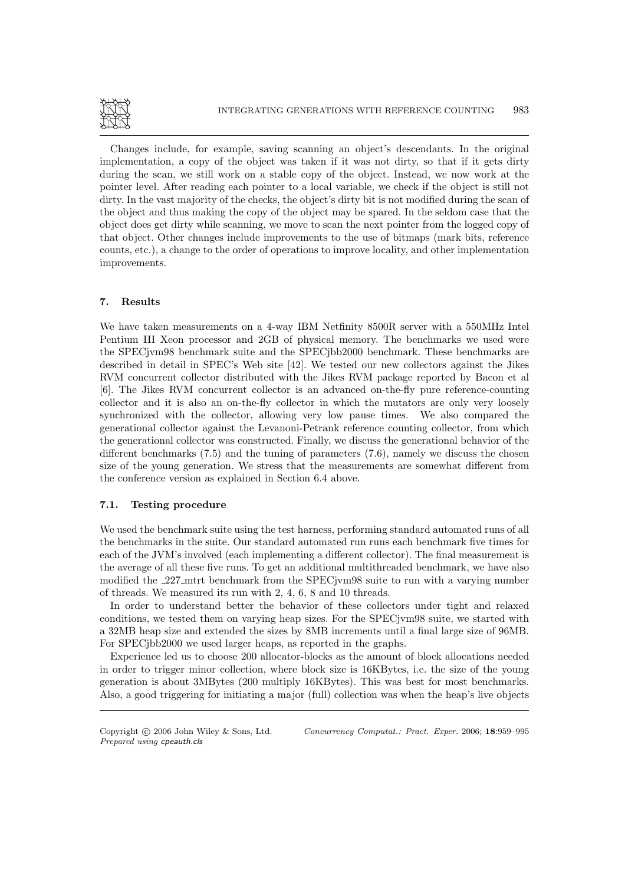

Changes include, for example, saving scanning an object's descendants. In the original implementation, a copy of the object was taken if it was not dirty, so that if it gets dirty during the scan, we still work on a stable copy of the object. Instead, we now work at the pointer level. After reading each pointer to a local variable, we check if the object is still not dirty. In the vast majority of the checks, the object's dirty bit is not modified during the scan of the object and thus making the copy of the object may be spared. In the seldom case that the object does get dirty while scanning, we move to scan the next pointer from the logged copy of that object. Other changes include improvements to the use of bitmaps (mark bits, reference counts, etc.), a change to the order of operations to improve locality, and other implementation improvements.

# 7. Results

We have taken measurements on a 4-way IBM Netfinity 8500R server with a 550MHz Intel Pentium III Xeon processor and 2GB of physical memory. The benchmarks we used were the SPECjvm98 benchmark suite and the SPECjbb2000 benchmark. These benchmarks are described in detail in SPEC's Web site [42]. We tested our new collectors against the Jikes RVM concurrent collector distributed with the Jikes RVM package reported by Bacon et al [6]. The Jikes RVM concurrent collector is an advanced on-the-fly pure reference-counting collector and it is also an on-the-fly collector in which the mutators are only very loosely synchronized with the collector, allowing very low pause times. We also compared the generational collector against the Levanoni-Petrank reference counting collector, from which the generational collector was constructed. Finally, we discuss the generational behavior of the different benchmarks (7.5) and the tuning of parameters (7.6), namely we discuss the chosen size of the young generation. We stress that the measurements are somewhat different from the conference version as explained in Section 6.4 above.

# 7.1. Testing procedure

We used the benchmark suite using the test harness, performing standard automated runs of all the benchmarks in the suite. Our standard automated run runs each benchmark five times for each of the JVM's involved (each implementing a different collector). The final measurement is the average of all these five runs. To get an additional multithreaded benchmark, we have also modified the 227 mtrt benchmark from the SPECjvm98 suite to run with a varying number of threads. We measured its run with 2, 4, 6, 8 and 10 threads.

In order to understand better the behavior of these collectors under tight and relaxed conditions, we tested them on varying heap sizes. For the SPECjvm98 suite, we started with a 32MB heap size and extended the sizes by 8MB increments until a final large size of 96MB. For SPECjbb2000 we used larger heaps, as reported in the graphs.

Experience led us to choose 200 allocator-blocks as the amount of block allocations needed in order to trigger minor collection, where block size is 16KBytes, i.e. the size of the young generation is about 3MBytes (200 multiply 16KBytes). This was best for most benchmarks. Also, a good triggering for initiating a major (full) collection was when the heap's live objects

Copyright © 2006 John Wiley & Sons, Ltd. Concurrency Computat.: Pract. Exper. 2006; 18:959-995 Prepared using cpeauth.cls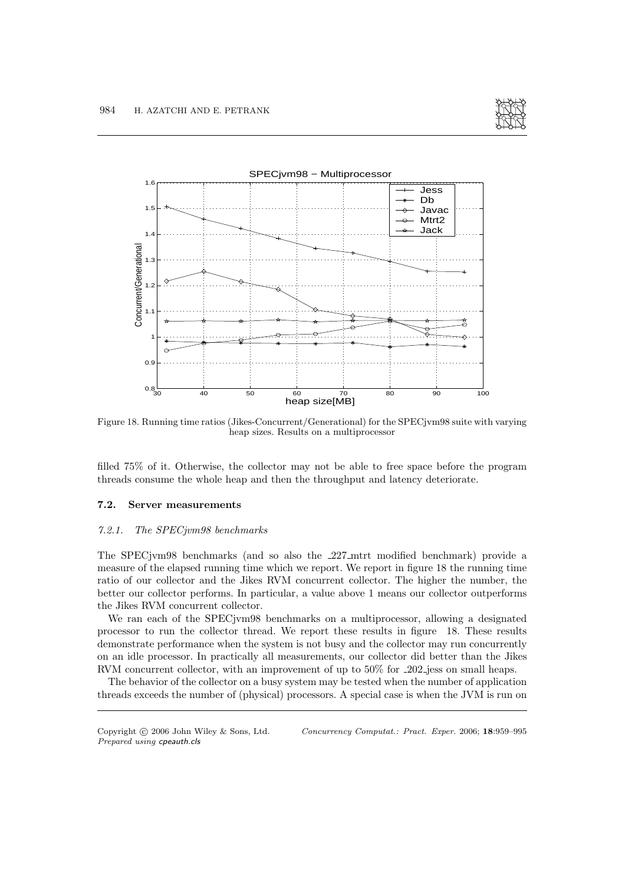



Figure 18. Running time ratios (Jikes-Concurrent/Generational) for the SPECjvm98 suite with varying heap sizes. Results on a multiprocessor

filled 75% of it. Otherwise, the collector may not be able to free space before the program threads consume the whole heap and then the throughput and latency deteriorate.

# 7.2. Server measurements

#### 7.2.1. The SPECjvm98 benchmarks

The SPECjvm98 benchmarks (and so also the 227 mtrt modified benchmark) provide a measure of the elapsed running time which we report. We report in figure 18 the running time ratio of our collector and the Jikes RVM concurrent collector. The higher the number, the better our collector performs. In particular, a value above 1 means our collector outperforms the Jikes RVM concurrent collector.

We ran each of the SPEC jvm98 benchmarks on a multiprocessor, allowing a designated processor to run the collector thread. We report these results in figure 18. These results demonstrate performance when the system is not busy and the collector may run concurrently on an idle processor. In practically all measurements, our collector did better than the Jikes RVM concurrent collector, with an improvement of up to 50% for 202 jess on small heaps.

The behavior of the collector on a busy system may be tested when the number of application threads exceeds the number of (physical) processors. A special case is when the JVM is run on

Copyright © 2006 John Wiley & Sons, Ltd. Concurrency Computat.: Pract. Exper. 2006; 18:959-995 Prepared using cpeauth.cls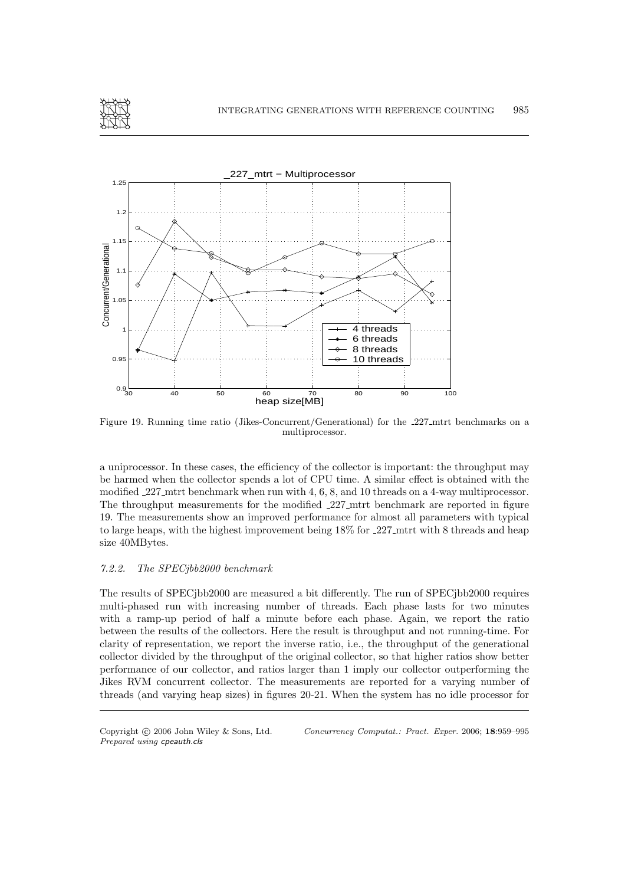



Figure 19. Running time ratio (Jikes-Concurrent/Generational) for the 227 mtrt benchmarks on a multiprocessor.

a uniprocessor. In these cases, the efficiency of the collector is important: the throughput may be harmed when the collector spends a lot of CPU time. A similar effect is obtained with the modified 227 mtrt benchmark when run with 4, 6, 8, and 10 threads on a 4-way multiprocessor. The throughput measurements for the modified 227 mtrt benchmark are reported in figure 19. The measurements show an improved performance for almost all parameters with typical to large heaps, with the highest improvement being 18% for 227 mtrt with 8 threads and heap size 40MBytes.

# 7.2.2. The SPECjbb2000 benchmark

The results of SPECjbb2000 are measured a bit differently. The run of SPECjbb2000 requires multi-phased run with increasing number of threads. Each phase lasts for two minutes with a ramp-up period of half a minute before each phase. Again, we report the ratio between the results of the collectors. Here the result is throughput and not running-time. For clarity of representation, we report the inverse ratio, i.e., the throughput of the generational collector divided by the throughput of the original collector, so that higher ratios show better performance of our collector, and ratios larger than 1 imply our collector outperforming the Jikes RVM concurrent collector. The measurements are reported for a varying number of threads (and varying heap sizes) in figures 20-21. When the system has no idle processor for

Copyright © 2006 John Wiley & Sons, Ltd. Concurrency Computat.: Pract. Exper. 2006; 18:959-995 Prepared using cpeauth.cls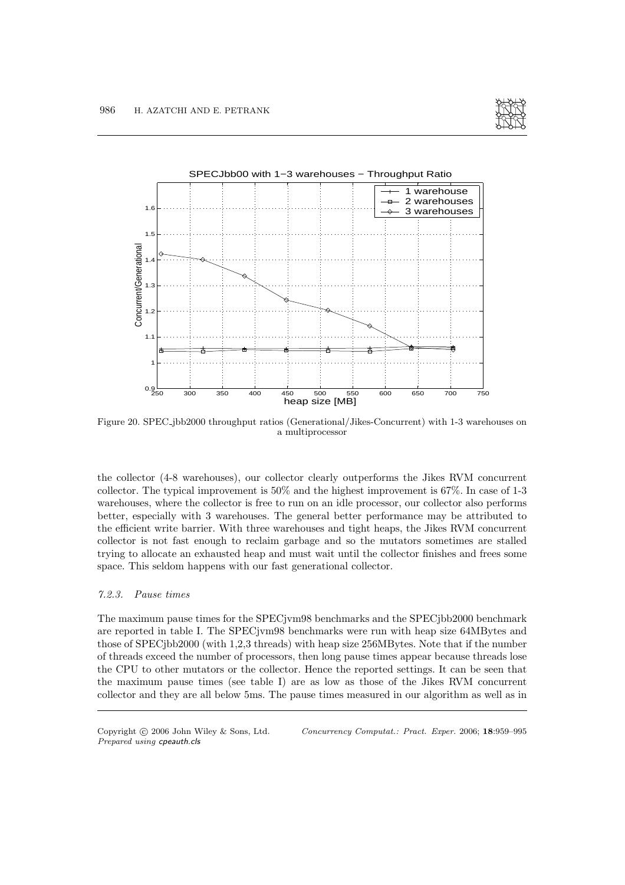



Figure 20. SPEC jbb2000 throughput ratios (Generational/Jikes-Concurrent) with 1-3 warehouses on a multiprocessor

the collector (4-8 warehouses), our collector clearly outperforms the Jikes RVM concurrent collector. The typical improvement is 50% and the highest improvement is 67%. In case of 1-3 warehouses, where the collector is free to run on an idle processor, our collector also performs better, especially with 3 warehouses. The general better performance may be attributed to the efficient write barrier. With three warehouses and tight heaps, the Jikes RVM concurrent collector is not fast enough to reclaim garbage and so the mutators sometimes are stalled trying to allocate an exhausted heap and must wait until the collector finishes and frees some space. This seldom happens with our fast generational collector.

#### 7.2.3. Pause times

The maximum pause times for the SPECjvm98 benchmarks and the SPECjbb2000 benchmark are reported in table I. The SPECjvm98 benchmarks were run with heap size 64MBytes and those of SPECjbb2000 (with 1,2,3 threads) with heap size 256MBytes. Note that if the number of threads exceed the number of processors, then long pause times appear because threads lose the CPU to other mutators or the collector. Hence the reported settings. It can be seen that the maximum pause times (see table I) are as low as those of the Jikes RVM concurrent collector and they are all below 5ms. The pause times measured in our algorithm as well as in

Copyright © 2006 John Wiley & Sons, Ltd. Concurrency Computat.: Pract. Exper. 2006; 18:959-995 Prepared using cpeauth.cls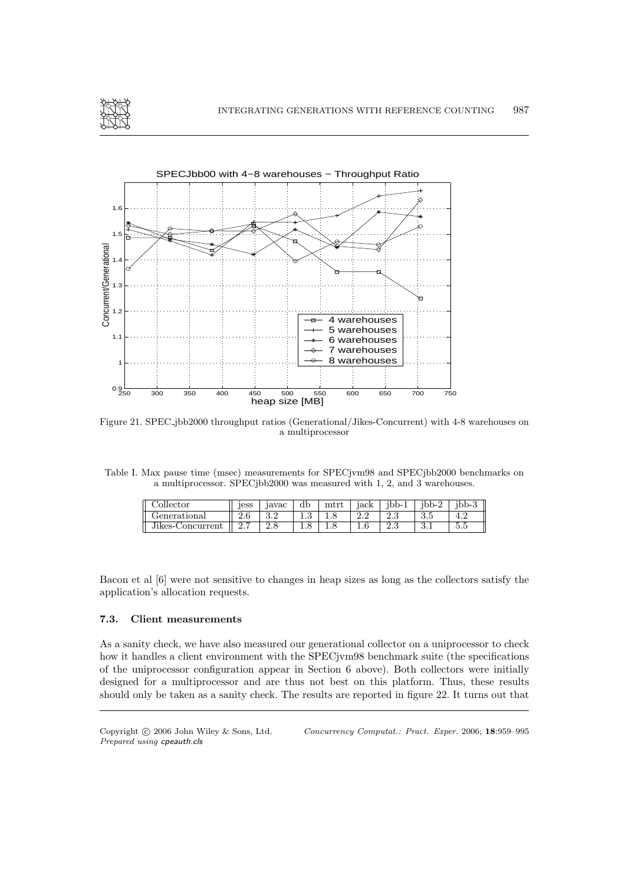

Figure 21. SPEC jbb2000 throughput ratios (Generational/Jikes-Concurrent) with 4-8 warehouses on a multiprocessor

Table I. Max pause time (msec) measurements for SPECjvm98 and SPECjbb2000 benchmarks on a multiprocessor. SPECjbb2000 was measured with 1, 2, and 3 warehouses.

| Collector        | 1ess                    | 1avac     | db | mtrt | iack | ibb-1 | $ibb-2$ | $ibb-3$ |
|------------------|-------------------------|-----------|----|------|------|-------|---------|---------|
| Generational     | 2.6                     | $\cdot$ . |    | i.   |      | ∠.ա   | ن.ر     |         |
| likes-Concurrent | $\Omega$ $\overline{z}$ | $2.8\,$   |    | i.   |      | ∠ա    |         | U.U     |

Bacon et al [6] were not sensitive to changes in heap sizes as long as the collectors satisfy the application's allocation requests.

# 7.3. Client measurements

As a sanity check, we have also measured our generational collector on a uniprocessor to check how it handles a client environment with the SPECjvm98 benchmark suite (the specifications of the uniprocessor configuration appear in Section 6 above). Both collectors were initially designed for a multiprocessor and are thus not best on this platform. Thus, these results should only be taken as a sanity check. The results are reported in figure 22. It turns out that

Copyright © 2006 John Wiley & Sons, Ltd. Concurrency Computat.: Pract. Exper. 2006; 18:959-995 Prepared using cpeauth.cls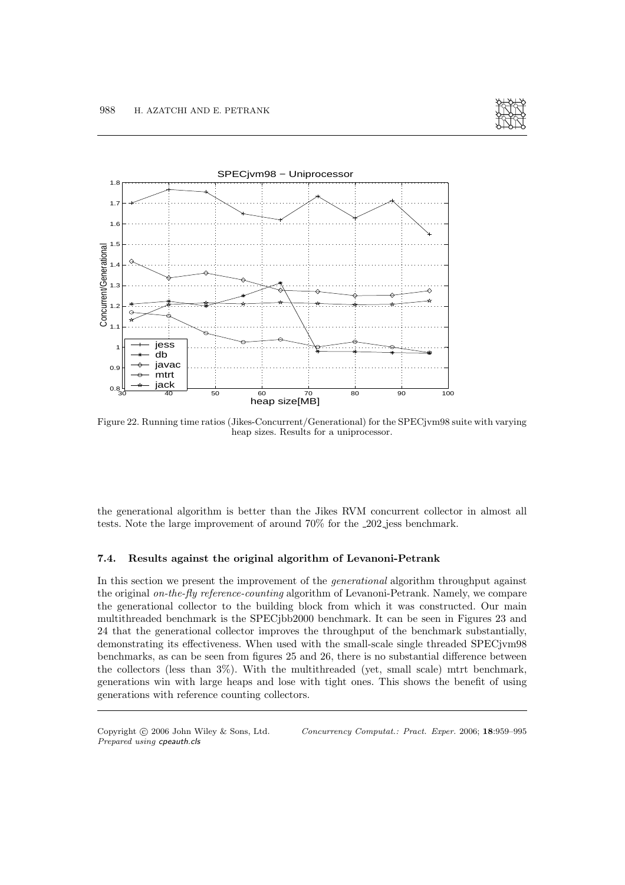



Figure 22. Running time ratios (Jikes-Concurrent/Generational) for the SPECjvm98 suite with varying heap sizes. Results for a uniprocessor.

the generational algorithm is better than the Jikes RVM concurrent collector in almost all tests. Note the large improvement of around 70% for the 202 jess benchmark.

# 7.4. Results against the original algorithm of Levanoni-Petrank

In this section we present the improvement of the generational algorithm throughput against the original on-the-fly reference-counting algorithm of Levanoni-Petrank. Namely, we compare the generational collector to the building block from which it was constructed. Our main multithreaded benchmark is the SPECjbb2000 benchmark. It can be seen in Figures 23 and 24 that the generational collector improves the throughput of the benchmark substantially, demonstrating its effectiveness. When used with the small-scale single threaded SPECjvm98 benchmarks, as can be seen from figures 25 and 26, there is no substantial difference between the collectors (less than 3%). With the multithreaded (yet, small scale) mtrt benchmark, generations win with large heaps and lose with tight ones. This shows the benefit of using generations with reference counting collectors.

Copyright © 2006 John Wiley & Sons, Ltd. Concurrency Computat.: Pract. Exper. 2006; 18:959-995 Prepared using cpeauth.cls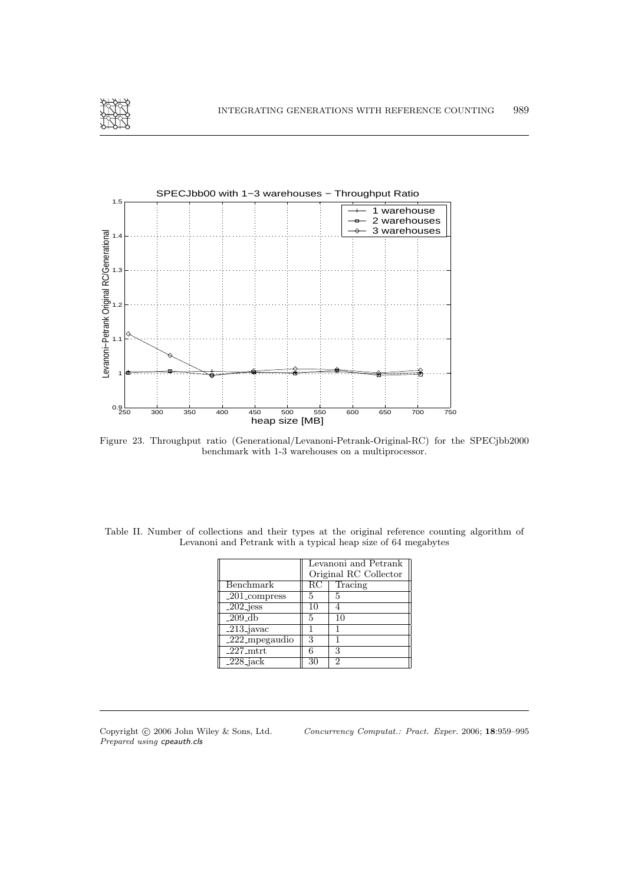



Figure 23. Throughput ratio (Generational/Levanoni-Petrank-Original-RC) for the SPECjbb2000 benchmark with 1-3 warehouses on a multiprocessor.

|  |  | Table II. Number of collections and their types at the original reference counting algorithm of |  |  |  |  |  |
|--|--|-------------------------------------------------------------------------------------------------|--|--|--|--|--|
|  |  | Levanoni and Petrank with a typical heap size of 64 megabytes                                   |  |  |  |  |  |

|                              |                     | Levanoni and Petrank<br>Original RC Collector |
|------------------------------|---------------------|-----------------------------------------------|
| Benchmark                    | $\operatorname{RC}$ | Tracing                                       |
| $-201$ <sub>compress</sub>   | 5                   | 5                                             |
| $-202$ jess                  | 10                  |                                               |
| $-209$ <sub>db</sub>         | 5                   | 10                                            |
| $-213$ -javac                |                     |                                               |
| $222$ <sub>-</sub> mpegaudio | 3                   |                                               |
| $-227$ _mtrt                 | 6                   | 3                                             |
| $-228$ -jack                 | 30                  | 2                                             |

Prepared using cpeauth.cls

Copyright © 2006 John Wiley & Sons, Ltd. Concurrency Computat.: Pract. Exper. 2006; 18:959-995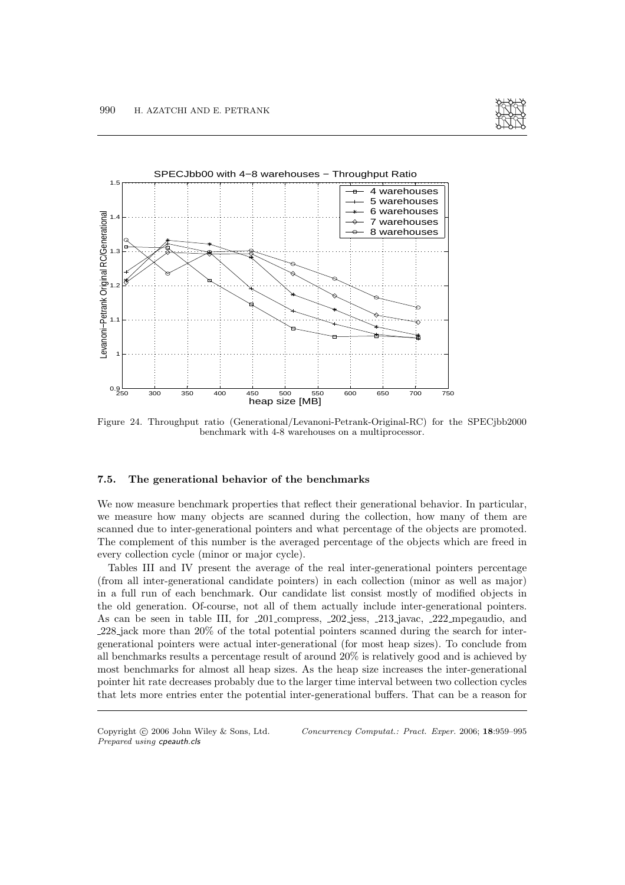



Figure 24. Throughput ratio (Generational/Levanoni-Petrank-Original-RC) for the SPECjbb2000 benchmark with 4-8 warehouses on a multiprocessor.

#### 7.5. The generational behavior of the benchmarks

We now measure benchmark properties that reflect their generational behavior. In particular, we measure how many objects are scanned during the collection, how many of them are scanned due to inter-generational pointers and what percentage of the objects are promoted. The complement of this number is the averaged percentage of the objects which are freed in every collection cycle (minor or major cycle).

Tables III and IV present the average of the real inter-generational pointers percentage (from all inter-generational candidate pointers) in each collection (minor as well as major) in a full run of each benchmark. Our candidate list consist mostly of modified objects in the old generation. Of-course, not all of them actually include inter-generational pointers. As can be seen in table III, for 201 compress, 202 jess, 213 javac, 222 mpegaudio, and 228 jack more than 20% of the total potential pointers scanned during the search for intergenerational pointers were actual inter-generational (for most heap sizes). To conclude from all benchmarks results a percentage result of around 20% is relatively good and is achieved by most benchmarks for almost all heap sizes. As the heap size increases the inter-generational pointer hit rate decreases probably due to the larger time interval between two collection cycles that lets more entries enter the potential inter-generational buffers. That can be a reason for

Copyright © 2006 John Wiley & Sons, Ltd. Concurrency Computat.: Pract. Exper. 2006; 18:959-995 Prepared using cpeauth.cls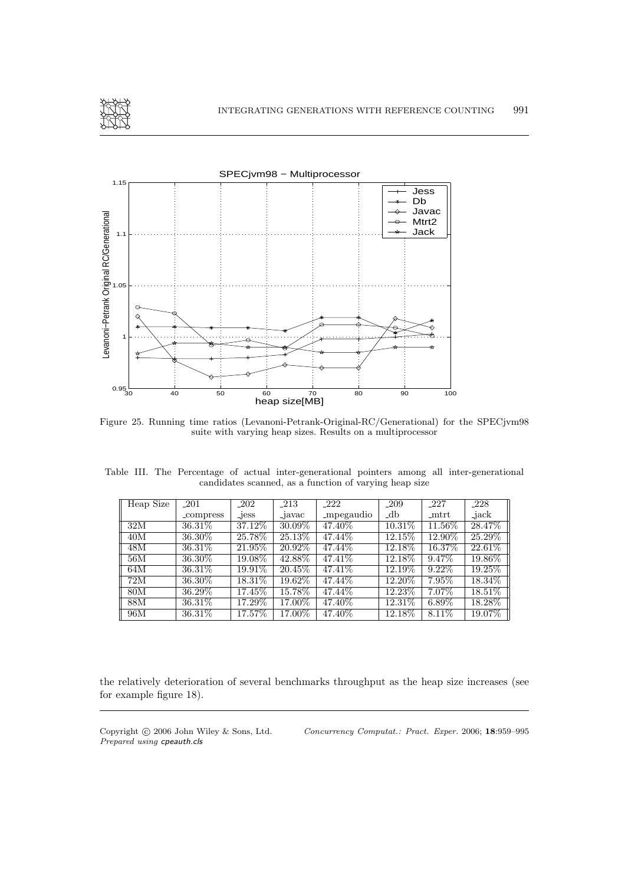



Figure 25. Running time ratios (Levanoni-Petrank-Original-RC/Generational) for the SPECjvm98 suite with varying heap sizes. Results on a multiprocessor

|  |  |  | Table III. The Percentage of actual inter-generational pointers among all inter-generational |  |  |
|--|--|--|----------------------------------------------------------------------------------------------|--|--|
|  |  |  | candidates scanned, as a function of varying heap size                                       |  |  |

| Heap Size | -201             | $-202$    | -213      | 222       | $-209$    | $-227$        | $-228$    |
|-----------|------------------|-----------|-----------|-----------|-----------|---------------|-----------|
|           | <b>_compress</b> | -jess     | -javac    | mpegaudio | _db       | $_{\rm mtrt}$ | -jack     |
| 32M       | 36.31\%          | 37.12\%   | 30.09%    | 47.40\%   | $10.31\%$ | 11.56%        | 28.47%    |
| 40M       | $36.30\%$        | $25.78\%$ | 25.13\%   | 47.44\%   | 12.15\%   | $12.90\%$     | 25.29%    |
| 48M       | $36.31\%$        | 21.95\%   | 20.92\%   | 47.44\%   | 12.18%    | $16.37\%$     | 22.61\%   |
| 56M       | 36.30%           | 19.08%    | 42.88%    | 47.41\%   | 12.18%    | $9.47\%$      | $19.86\%$ |
| 64M       | $36.31\%$        | 19.91%    | 20.45\%   | $47.41\%$ | 12.19%    | $9.22\%$      | 19.25%    |
| 72M       | 36.30%           | 18.31\%   | 19.62%    | 47.44\%   | 12.20\%   | 7.95%         | 18.34%    |
| 80M       | $36.29\%$        | 17.45\%   | 15.78%    | 47.44\%   | $12.23\%$ | 7.07%         | $18.51\%$ |
| 88M       | $36.31\%$        | 17.29%    | 17.00%    | 47.40%    | $12.31\%$ | $6.89\%$      | $18.28\%$ |
| 96M       | $36.31\%$        | 17.57%    | $17.00\%$ | 47.40%    | 12.18%    | $8.11\%$      | $19.07\%$ |

the relatively deterioration of several benchmarks throughput as the heap size increases (see for example figure 18).

Prepared using cpeauth.cls

Copyright © 2006 John Wiley & Sons, Ltd. Concurrency Computat.: Pract. Exper. 2006; 18:959-995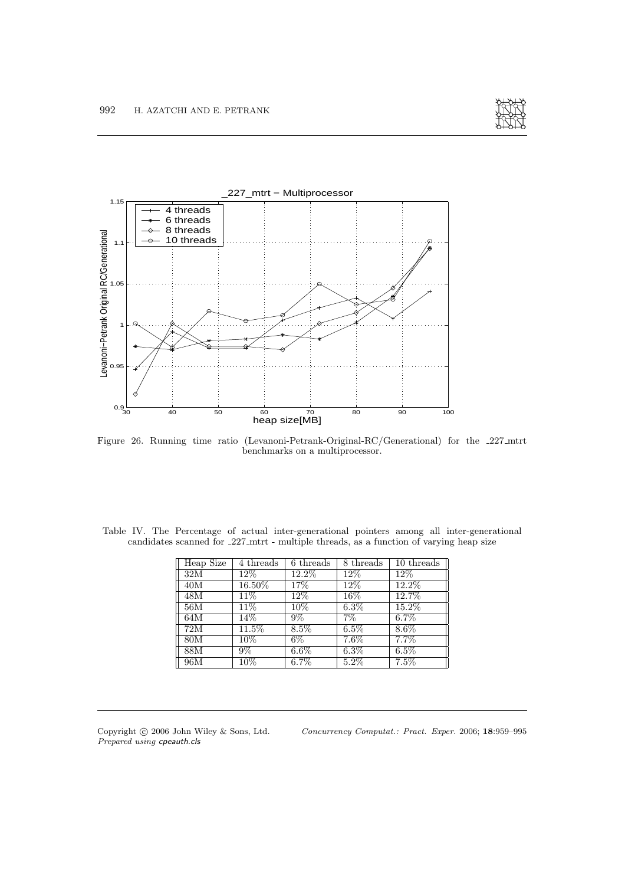



Figure 26. Running time ratio (Levanoni-Petrank-Original-RC/Generational) for the 227 mtrt benchmarks on a multiprocessor.

|  |  |  | Table IV. The Percentage of actual inter-generational pointers among all inter-generational |  |  |
|--|--|--|---------------------------------------------------------------------------------------------|--|--|
|  |  |  | candidates scanned for -227-mtrt - multiple threads, as a function of varying heap size     |  |  |

| Heap Size | 4 threads         | 6 threads | 8 threads | $\overline{10}$ threads |
|-----------|-------------------|-----------|-----------|-------------------------|
| 32M       | $\overline{12\%}$ | $12.2\%$  | $12\%$    | 12%                     |
| 40M       | 16.50%            | 17%       | $12\%$    | $12.2\%$                |
| 48M       | $11\%$            | 12%       | 16\%      | 12.7%                   |
| 56M       | 11\%              | $10\%$    | $6.3\%$   | 15.2%                   |
| 64M       | 14%               | $9\%$     | $7\%$     | $6.7\%$                 |
| 72M       | $11.5\%$          | $8.5\%$   | $6.5\%$   | $8.6\%$                 |
| 80M       | 10%               | $6\%$     | $7.6\%$   | $7.7\%$                 |
| 88M       | $9\%$             | $6.6\%$   | $6.3\%$   | 6.5%                    |
| 96M       | 10%               | $6.7\%$   | $5.2\%$   | 7.5%                    |

 $\begin{minipage}{.4\linewidth} \textbf{Copyright} \textbf{\textcircled{\textsc{}} 2006 John Wiley \textbf{\textcircled{\textsc{}} 80ns, Ltd.} \textbf{Prepared using \textbf{cpeauth} } \textbf{cls} \end{minipage}$ 

Concurrency Computat.: Pract. Exper. 2006; 18:959–995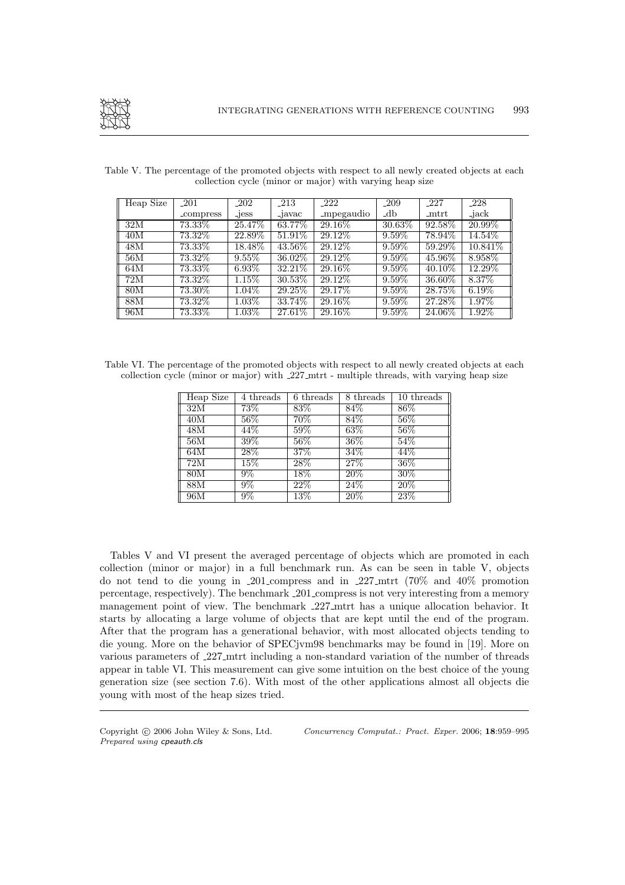

| Heap Size | -201      | $-202$   | -213      | 222       | $-209$   | $-227$        | $-228$     |
|-----------|-----------|----------|-----------|-----------|----------|---------------|------------|
|           | _compress | -jess    | -javac    | mpegaudio | _db      | $_{\rm mtrt}$ | -jack      |
| 32M       | 73.33%    | 25.47%   | 63.77%    | 29.16\%   | 30.63%   | 92.58%        | $20.99\%$  |
| 40M       | 73.32\%   | 22.89%   | $51.91\%$ | 29.12\%   | $9.59\%$ | 78.94%        | $14.54\%$  |
| 48M       | 73.33%    | 18.48%   | $43.56\%$ | 29.12\%   | $9.59\%$ | 59.29%        | $10.841\%$ |
| 56M       | 73.32\%   | $9.55\%$ | 36.02\%   | 29.12\%   | $9.59\%$ | 45.96%        | 8.958\%    |
| 64M       | 73.33%    | $6.93\%$ | 32.21\%   | 29.16\%   | $9.59\%$ | 40.10\%       | $12.29\%$  |
| 72M       | 73.32\%   | $1.15\%$ | 30.53%    | 29.12\%   | $9.59\%$ | 36.60%        | 8.37%      |
| 80M       | 73.30%    | $1.04\%$ | $29.25\%$ | 29.17\%   | $9.59\%$ | 28.75%        | $6.19\%$   |
| 88M       | 73.32\%   | $1.03\%$ | 33.74\%   | 29.16\%   | $9.59\%$ | 27.28\%       | 1.97%      |
| 96M       | 73.33%    | $1.03\%$ | 27.61\%   | 29.16\%   | $9.59\%$ | $24.06\%$     | 1.92%      |

Table V. The percentage of the promoted objects with respect to all newly created objects at each collection cycle (minor or major) with varying heap size

Table VI. The percentage of the promoted objects with respect to all newly created objects at each collection cycle (minor or major) with 227 mtrt - multiple threads, with varying heap size

| Heap Size        | 4 threads | 6 threads         | 8 threads         | $\overline{10}$ threads |
|------------------|-----------|-------------------|-------------------|-------------------------|
| 32M              | $73\%$    | $83\%$            | 84\%              | $86\%$                  |
| 40M              | $56\%$    | 70%               | 84%               | 56%                     |
| $\overline{48M}$ | 44%       | 59%               | 63%               | 56%                     |
| 56M              | 39%       | 56%               | 36%               | 54%                     |
| 64M              | 28%       | 37%               | 34%               | 44\%                    |
| 72M              | $15\%$    | $\overline{28\%}$ | $\overline{27\%}$ | $36\%$                  |
| 80M              | $9\%$     | 18%               | $\overline{20\%}$ | $30\%$                  |
| 88M              | $9\%$     | $22\%$            | 24%               | 20%                     |
| 96M              | $9\%$     | 13%               | 20%               | 23\%                    |

Tables V and VI present the averaged percentage of objects which are promoted in each collection (minor or major) in a full benchmark run. As can be seen in table V, objects do not tend to die young in 201 compress and in 227 mtrt (70% and 40% promotion percentage, respectively). The benchmark 201 compress is not very interesting from a memory management point of view. The benchmark 227 mtrt has a unique allocation behavior. It starts by allocating a large volume of objects that are kept until the end of the program. After that the program has a generational behavior, with most allocated objects tending to die young. More on the behavior of SPECjvm98 benchmarks may be found in [19]. More on various parameters of 227 mtrt including a non-standard variation of the number of threads appear in table VI. This measurement can give some intuition on the best choice of the young generation size (see section 7.6). With most of the other applications almost all objects die young with most of the heap sizes tried.

Prepared using cpeauth.cls

Copyright © 2006 John Wiley & Sons, Ltd. Concurrency Computat.: Pract. Exper. 2006; 18:959-995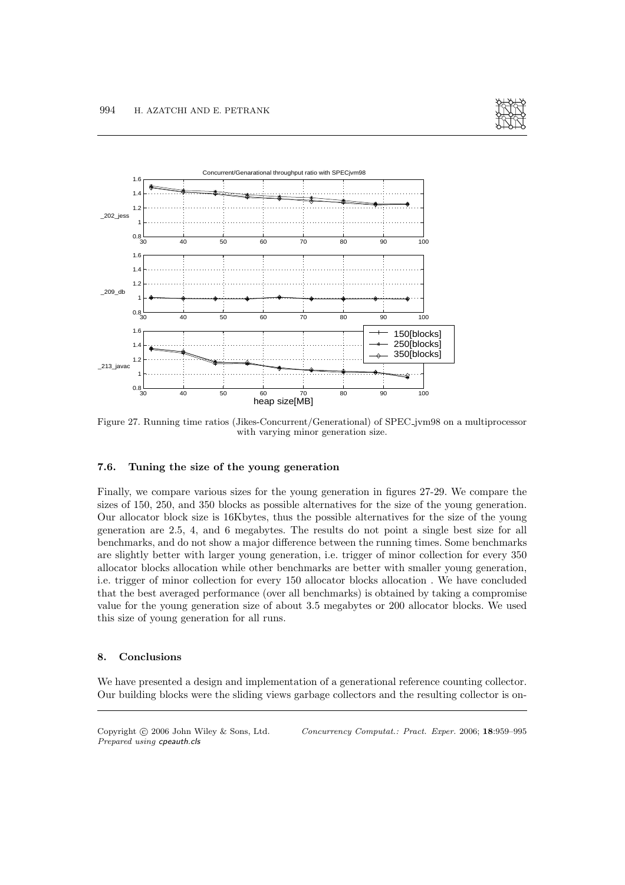



Figure 27. Running time ratios (Jikes-Concurrent/Generational) of SPEC jvm98 on a multiprocessor with varying minor generation size.

# 7.6. Tuning the size of the young generation

Finally, we compare various sizes for the young generation in figures 27-29. We compare the sizes of 150, 250, and 350 blocks as possible alternatives for the size of the young generation. Our allocator block size is 16Kbytes, thus the possible alternatives for the size of the young generation are 2.5, 4, and 6 megabytes. The results do not point a single best size for all benchmarks, and do not show a major difference between the running times. Some benchmarks are slightly better with larger young generation, i.e. trigger of minor collection for every 350 allocator blocks allocation while other benchmarks are better with smaller young generation, i.e. trigger of minor collection for every 150 allocator blocks allocation . We have concluded that the best averaged performance (over all benchmarks) is obtained by taking a compromise value for the young generation size of about 3.5 megabytes or 200 allocator blocks. We used this size of young generation for all runs.

#### 8. Conclusions

We have presented a design and implementation of a generational reference counting collector. Our building blocks were the sliding views garbage collectors and the resulting collector is on-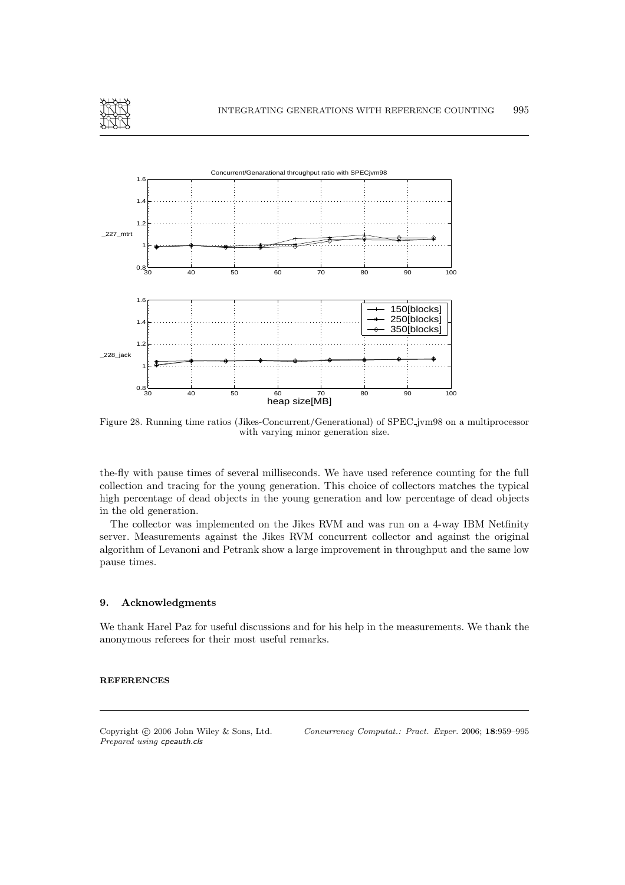



Figure 28. Running time ratios (Jikes-Concurrent/Generational) of SPEC jvm98 on a multiprocessor with varying minor generation size.

the-fly with pause times of several milliseconds. We have used reference counting for the full collection and tracing for the young generation. This choice of collectors matches the typical high percentage of dead objects in the young generation and low percentage of dead objects in the old generation.

The collector was implemented on the Jikes RVM and was run on a 4-way IBM Netfinity server. Measurements against the Jikes RVM concurrent collector and against the original algorithm of Levanoni and Petrank show a large improvement in throughput and the same low pause times.

# 9. Acknowledgments

We thank Harel Paz for useful discussions and for his help in the measurements. We thank the anonymous referees for their most useful remarks.

## REFERENCES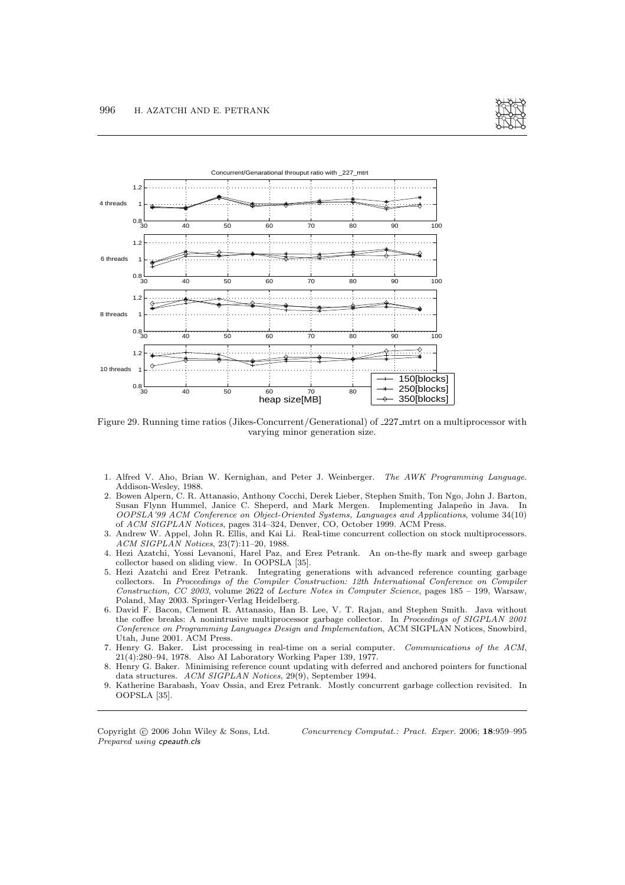



Figure 29. Running time ratios (Jikes-Concurrent/Generational) of 227 mtrt on a multiprocessor with varying minor generation size.

- 1. Alfred V. Aho, Brian W. Kernighan, and Peter J. Weinberger. The AWK Programming Language. Addison-Wesley, 1988.
- 2. Bowen Alpern, C. R. Attanasio, Anthony Cocchi, Derek Lieber, Stephen Smith, Ton Ngo, John J. Barton, Susan Flynn Hummel, Janice C. Sheperd, and Mark Mergen. Implementing Jalapeño in Java. In OOPSLA'99 ACM Conference on Object-Oriented Systems, Languages and Applications, volume 34(10) of ACM SIGPLAN Notices, pages 314–324, Denver, CO, October 1999. ACM Press.
- 3. Andrew W. Appel, John R. Ellis, and Kai Li. Real-time concurrent collection on stock multiprocessors. ACM SIGPLAN Notices, 23(7):11–20, 1988.
- 4. Hezi Azatchi, Yossi Levanoni, Harel Paz, and Erez Petrank. An on-the-fly mark and sweep garbage collector based on sliding view. In OOPSLA [35].
- 5. Hezi Azatchi and Erez Petrank. Integrating generations with advanced reference counting garbage collectors. In Proceedings of the Compiler Construction: 12th International Conference on Compiler Construction, CC 2003, volume 2622 of Lecture Notes in Computer Science, pages 185 – 199, Warsaw, Poland, May 2003. Springer-Verlag Heidelberg.
- 6. David F. Bacon, Clement R. Attanasio, Han B. Lee, V. T. Rajan, and Stephen Smith. Java without the coffee breaks: A nonintrusive multiprocessor garbage collector. In Proceedings of SIGPLAN 2001 Conference on Programming Languages Design and Implementation, ACM SIGPLAN Notices, Snowbird, Utah, June 2001. ACM Press.
- 7. Henry G. Baker. List processing in real-time on a serial computer. Communications of the ACM, 21(4):280–94, 1978. Also AI Laboratory Working Paper 139, 1977.
- 8. Henry G. Baker. Minimising reference count updating with deferred and anchored pointers for functional data structures. ACM SIGPLAN Notices, 29(9), September 1994.
- 9. Katherine Barabash, Yoav Ossia, and Erez Petrank. Mostly concurrent garbage collection revisited. In OOPSLA [35].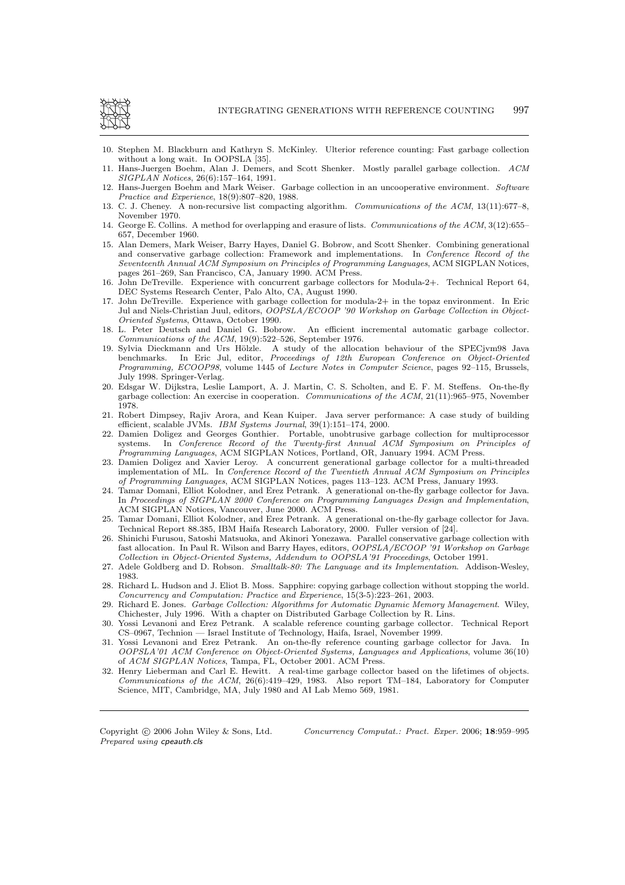- 10. Stephen M. Blackburn and Kathryn S. McKinley. Ulterior reference counting: Fast garbage collection without a long wait. In OOPSLA [35].
- 11. Hans-Juergen Boehm, Alan J. Demers, and Scott Shenker. Mostly parallel garbage collection. ACM SIGPLAN Notices, 26(6):157–164, 1991.
- 12. Hans-Juergen Boehm and Mark Weiser. Garbage collection in an uncooperative environment. Software Practice and Experience, 18(9):807–820, 1988.
- 13. C. J. Cheney. A non-recursive list compacting algorithm. Communications of the ACM, 13(11):677–8, November 1970.
- 14. George E. Collins. A method for overlapping and erasure of lists. Communications of the ACM, 3(12):655– 657, December 1960.
- 15. Alan Demers, Mark Weiser, Barry Hayes, Daniel G. Bobrow, and Scott Shenker. Combining generational and conservative garbage collection: Framework and implementations. In Conference Record of the Seventeenth Annual ACM Symposium on Principles of Programming Languages, ACM SIGPLAN Notices, pages 261–269, San Francisco, CA, January 1990. ACM Press.
- 16. John DeTreville. Experience with concurrent garbage collectors for Modula-2+. Technical Report 64, DEC Systems Research Center, Palo Alto, CA, August 1990.
- 17. John DeTreville. Experience with garbage collection for modula-2+ in the topaz environment. In Eric Jul and Niels-Christian Juul, editors, OOPSLA/ECOOP '90 Workshop on Garbage Collection in Object-Oriented Systems, Ottawa, October 1990.
- 18. L. Peter Deutsch and Daniel G. Bobrow. An efficient incremental automatic garbage collector. Communications of the ACM, 19(9):522–526, September 1976.
- 19. Sylvia Dieckmann and Urs Hölzle. A study of the allocation behaviour of the SPECjvm98 Java benchmarks. In Eric Jul, editor, Proceedings of 12th European Conference on Object-Oriented Programming, ECOOP98, volume 1445 of Lecture Notes in Computer Science, pages 92–115, Brussels, July 1998. Springer-Verlag.
- 20. Edsgar W. Dijkstra, Leslie Lamport, A. J. Martin, C. S. Scholten, and E. F. M. Steffens. On-the-fly garbage collection: An exercise in cooperation. Communications of the ACM, 21(11):965–975, November 1978.
- 21. Robert Dimpsey, Rajiv Arora, and Kean Kuiper. Java server performance: A case study of building efficient, scalable JVMs. IBM Systems Journal, 39(1):151-174, 2000.
- 22. Damien Doligez and Georges Gonthier. Portable, unobtrusive garbage collection for multiprocessor systems. In Conference Record of the Twenty-first Annual ACM Symposium on Principles of Programming Languages, ACM SIGPLAN Notices, Portland, OR, January 1994. ACM Press.
- 23. Damien Doligez and Xavier Leroy. A concurrent generational garbage collector for a multi-threaded implementation of ML. In Conference Record of the Twentieth Annual ACM Symposium on Principles of Programming Languages, ACM SIGPLAN Notices, pages 113–123. ACM Press, January 1993.
- 24. Tamar Domani, Elliot Kolodner, and Erez Petrank. A generational on-the-fly garbage collector for Java. In Proceedings of SIGPLAN 2000 Conference on Programming Languages Design and Implementation, ACM SIGPLAN Notices, Vancouver, June 2000. ACM Press.
- 25. Tamar Domani, Elliot Kolodner, and Erez Petrank. A generational on-the-fly garbage collector for Java. Technical Report 88.385, IBM Haifa Research Laboratory, 2000. Fuller version of [24].
- 26. Shinichi Furusou, Satoshi Matsuoka, and Akinori Yonezawa. Parallel conservative garbage collection with fast allocation. In Paul R. Wilson and Barry Hayes, editors, OOPSLA/ECOOP '91 Workshop on Garbage Collection in Object-Oriented Systems, Addendum to OOPSLA'91 Proceedings, October 1991.
- 27. Adele Goldberg and D. Robson. Smalltalk-80: The Language and its Implementation. Addison-Wesley, 1983.
- 28. Richard L. Hudson and J. Eliot B. Moss. Sapphire: copying garbage collection without stopping the world. Concurrency and Computation: Practice and Experience, 15(3-5):223–261, 2003.
- 29. Richard E. Jones. Garbage Collection: Algorithms for Automatic Dynamic Memory Management. Wiley, Chichester, July 1996. With a chapter on Distributed Garbage Collection by R. Lins.
- 30. Yossi Levanoni and Erez Petrank. A scalable reference counting garbage collector. Technical Report CS–0967, Technion — Israel Institute of Technology, Haifa, Israel, November 1999.
- 31. Yossi Levanoni and Erez Petrank. An on-the-fly reference counting garbage collector for Java. In OOPSLA'01 ACM Conference on Object-Oriented Systems, Languages and Applications, volume 36(10) of ACM SIGPLAN Notices, Tampa, FL, October 2001. ACM Press.
- 32. Henry Lieberman and Carl E. Hewitt. A real-time garbage collector based on the lifetimes of objects. Communications of the ACM, 26(6):419–429, 1983. Also report TM–184, Laboratory for Computer Science, MIT, Cambridge, MA, July 1980 and AI Lab Memo 569, 1981.